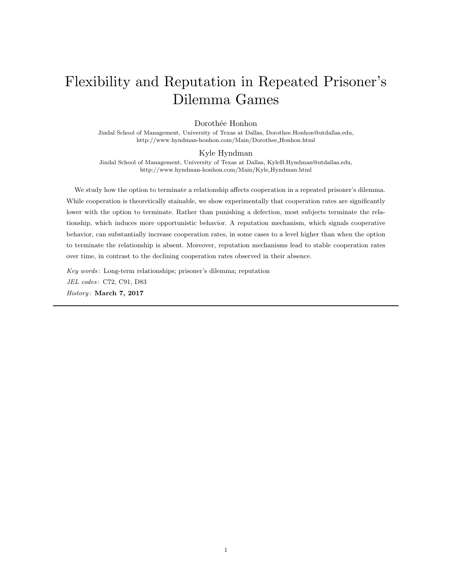# Flexibility and Reputation in Repeated Prisoner's Dilemma Games

## Dorothée Honhon

Jindal School of Management, University of Texas at Dallas, Dorothee.Honhon@utdallas.edu, http://www.hyndman-honhon.com/Main/Dorothee Honhon.html

### Kyle Hyndman

Jindal School of Management, University of Texas at Dallas, KyleB.Hyndman@utdallas.edu, http://www.hyndman-honhon.com/Main/Kyle Hyndman.html

We study how the option to terminate a relationship affects cooperation in a repeated prisoner's dilemma. While cooperation is theoretically stainable, we show experimentally that cooperation rates are significantly lower with the option to terminate. Rather than punishing a defection, most subjects terminate the relationship, which induces more opportunistic behavior. A reputation mechanism, which signals cooperative behavior, can substantially increase cooperation rates, in some cases to a level higher than when the option to terminate the relationship is absent. Moreover, reputation mechanisms lead to stable cooperation rates over time, in contrast to the declining cooperation rates observed in their absence.

Key words : Long-term relationships; prisoner's dilemma; reputation JEL codes : C72, C91, D83 History: March 7, 2017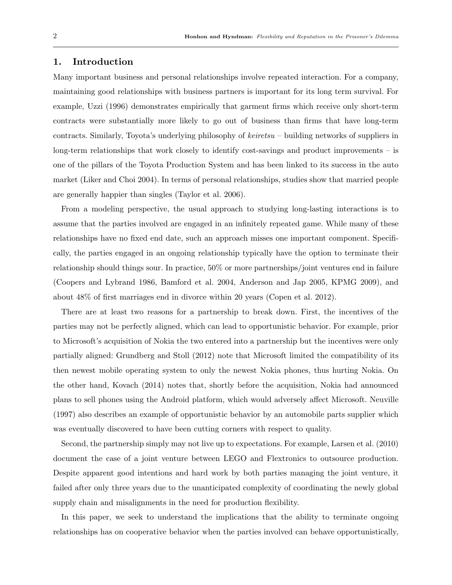# 1. Introduction

Many important business and personal relationships involve repeated interaction. For a company, maintaining good relationships with business partners is important for its long term survival. For example, Uzzi (1996) demonstrates empirically that garment firms which receive only short-term contracts were substantially more likely to go out of business than firms that have long-term contracts. Similarly, Toyota's underlying philosophy of  $keiretsu$  – building networks of suppliers in long-term relationships that work closely to identify cost-savings and product improvements – is one of the pillars of the Toyota Production System and has been linked to its success in the auto market (Liker and Choi 2004). In terms of personal relationships, studies show that married people are generally happier than singles (Taylor et al. 2006).

From a modeling perspective, the usual approach to studying long-lasting interactions is to assume that the parties involved are engaged in an infinitely repeated game. While many of these relationships have no fixed end date, such an approach misses one important component. Specifically, the parties engaged in an ongoing relationship typically have the option to terminate their relationship should things sour. In practice, 50% or more partnerships/joint ventures end in failure (Coopers and Lybrand 1986, Bamford et al. 2004, Anderson and Jap 2005, KPMG 2009), and about 48% of first marriages end in divorce within 20 years (Copen et al. 2012).

There are at least two reasons for a partnership to break down. First, the incentives of the parties may not be perfectly aligned, which can lead to opportunistic behavior. For example, prior to Microsoft's acquisition of Nokia the two entered into a partnership but the incentives were only partially aligned: Grundberg and Stoll (2012) note that Microsoft limited the compatibility of its then newest mobile operating system to only the newest Nokia phones, thus hurting Nokia. On the other hand, Kovach (2014) notes that, shortly before the acquisition, Nokia had announced plans to sell phones using the Android platform, which would adversely affect Microsoft. Neuville (1997) also describes an example of opportunistic behavior by an automobile parts supplier which was eventually discovered to have been cutting corners with respect to quality.

Second, the partnership simply may not live up to expectations. For example, Larsen et al. (2010) document the case of a joint venture between LEGO and Flextronics to outsource production. Despite apparent good intentions and hard work by both parties managing the joint venture, it failed after only three years due to the unanticipated complexity of coordinating the newly global supply chain and misalignments in the need for production flexibility.

In this paper, we seek to understand the implications that the ability to terminate ongoing relationships has on cooperative behavior when the parties involved can behave opportunistically,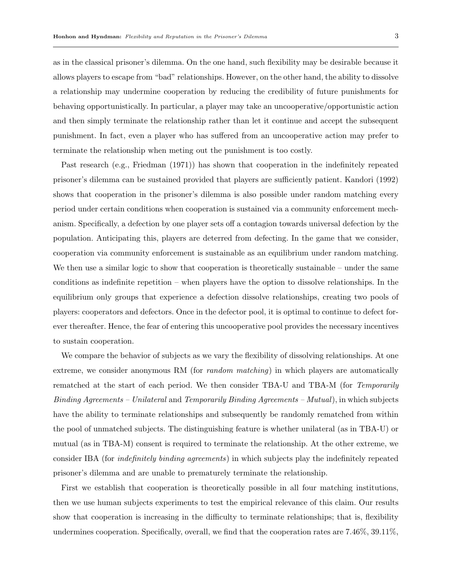as in the classical prisoner's dilemma. On the one hand, such flexibility may be desirable because it allows players to escape from "bad" relationships. However, on the other hand, the ability to dissolve a relationship may undermine cooperation by reducing the credibility of future punishments for behaving opportunistically. In particular, a player may take an uncooperative/opportunistic action and then simply terminate the relationship rather than let it continue and accept the subsequent punishment. In fact, even a player who has suffered from an uncooperative action may prefer to terminate the relationship when meting out the punishment is too costly.

Past research (e.g., Friedman (1971)) has shown that cooperation in the indefinitely repeated prisoner's dilemma can be sustained provided that players are sufficiently patient. Kandori (1992) shows that cooperation in the prisoner's dilemma is also possible under random matching every period under certain conditions when cooperation is sustained via a community enforcement mechanism. Specifically, a defection by one player sets off a contagion towards universal defection by the population. Anticipating this, players are deterred from defecting. In the game that we consider, cooperation via community enforcement is sustainable as an equilibrium under random matching. We then use a similar logic to show that cooperation is theoretically sustainable – under the same conditions as indefinite repetition – when players have the option to dissolve relationships. In the equilibrium only groups that experience a defection dissolve relationships, creating two pools of players: cooperators and defectors. Once in the defector pool, it is optimal to continue to defect forever thereafter. Hence, the fear of entering this uncooperative pool provides the necessary incentives to sustain cooperation.

We compare the behavior of subjects as we vary the flexibility of dissolving relationships. At one extreme, we consider anonymous RM (for *random matching*) in which players are automatically rematched at the start of each period. We then consider TBA-U and TBA-M (for Temporarily Binding Agreements – Unilateral and Temporarily Binding Agreements – Mutual), in which subjects have the ability to terminate relationships and subsequently be randomly rematched from within the pool of unmatched subjects. The distinguishing feature is whether unilateral (as in TBA-U) or mutual (as in TBA-M) consent is required to terminate the relationship. At the other extreme, we consider IBA (for indefinitely binding agreements) in which subjects play the indefinitely repeated prisoner's dilemma and are unable to prematurely terminate the relationship.

First we establish that cooperation is theoretically possible in all four matching institutions, then we use human subjects experiments to test the empirical relevance of this claim. Our results show that cooperation is increasing in the difficulty to terminate relationships; that is, flexibility undermines cooperation. Specifically, overall, we find that the cooperation rates are 7.46%, 39.11%,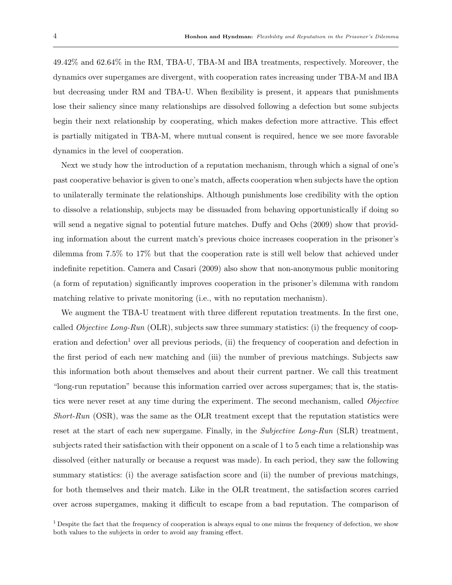49.42% and 62.64% in the RM, TBA-U, TBA-M and IBA treatments, respectively. Moreover, the dynamics over supergames are divergent, with cooperation rates increasing under TBA-M and IBA but decreasing under RM and TBA-U. When flexibility is present, it appears that punishments lose their saliency since many relationships are dissolved following a defection but some subjects begin their next relationship by cooperating, which makes defection more attractive. This effect is partially mitigated in TBA-M, where mutual consent is required, hence we see more favorable dynamics in the level of cooperation.

Next we study how the introduction of a reputation mechanism, through which a signal of one's past cooperative behavior is given to one's match, affects cooperation when subjects have the option to unilaterally terminate the relationships. Although punishments lose credibility with the option to dissolve a relationship, subjects may be dissuaded from behaving opportunistically if doing so will send a negative signal to potential future matches. Duffy and Ochs (2009) show that providing information about the current match's previous choice increases cooperation in the prisoner's dilemma from 7.5% to 17% but that the cooperation rate is still well below that achieved under indefinite repetition. Camera and Casari (2009) also show that non-anonymous public monitoring (a form of reputation) significantly improves cooperation in the prisoner's dilemma with random matching relative to private monitoring (i.e., with no reputation mechanism).

We augment the TBA-U treatment with three different reputation treatments. In the first one, called *Objective Long-Run* (OLR), subjects saw three summary statistics: (i) the frequency of cooperation and defection<sup>1</sup> over all previous periods, (ii) the frequency of cooperation and defection in the first period of each new matching and (iii) the number of previous matchings. Subjects saw this information both about themselves and about their current partner. We call this treatment "long-run reputation" because this information carried over across supergames; that is, the statistics were never reset at any time during the experiment. The second mechanism, called Objective *Short-Run* (OSR), was the same as the OLR treatment except that the reputation statistics were reset at the start of each new supergame. Finally, in the Subjective Long-Run (SLR) treatment, subjects rated their satisfaction with their opponent on a scale of 1 to 5 each time a relationship was dissolved (either naturally or because a request was made). In each period, they saw the following summary statistics: (i) the average satisfaction score and (ii) the number of previous matchings, for both themselves and their match. Like in the OLR treatment, the satisfaction scores carried over across supergames, making it difficult to escape from a bad reputation. The comparison of

<sup>&</sup>lt;sup>1</sup> Despite the fact that the frequency of cooperation is always equal to one minus the frequency of defection, we show both values to the subjects in order to avoid any framing effect.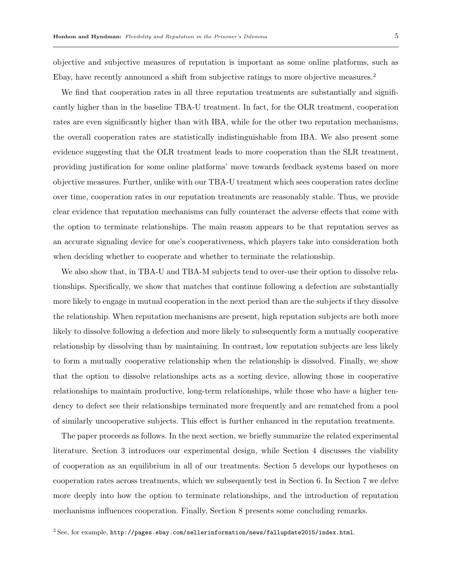objective and subjective measures of reputation is important as some online platforms, such as Ebay, have recently announced a shift from subjective ratings to more objective measures.<sup>2</sup>

We find that cooperation rates in all three reputation treatments are substantially and significantly higher than in the baseline TBA-U treatment. In fact, for the OLR treatment, cooperation rates are even significantly higher than with IBA, while for the other two reputation mechanisms, the overall cooperation rates are statistically indistinguishable from IBA. We also present some evidence suggesting that the OLR treatment leads to more cooperation than the SLR treatment, providing justification for some online platforms' move towards feedback systems based on more objective measures. Further, unlike with our TBA-U treatment which sees cooperation rates decline over time, cooperation rates in our reputation treatments are reasonably stable. Thus, we provide clear evidence that reputation mechanisms can fully counteract the adverse effects that come with the option to terminate relationships. The main reason appears to be that reputation serves as an accurate signaling device for one's cooperativeness, which players take into consideration both when deciding whether to cooperate and whether to terminate the relationship.

We also show that, in TBA-U and TBA-M subjects tend to over-use their option to dissolve relationships. Specifically, we show that matches that continue following a defection are substantially more likely to engage in mutual cooperation in the next period than are the subjects if they dissolve the relationship. When reputation mechanisms are present, high reputation subjects are both more likely to dissolve following a defection and more likely to subsequently form a mutually cooperative relationship by dissolving than by maintaining. In contrast, low reputation subjects are less likely to form a mutually cooperative relationship when the relationship is dissolved. Finally, we show that the option to dissolve relationships acts as a sorting device, allowing those in cooperative relationships to maintain productive, long-term relationships, while those who have a higher tendency to defect see their relationships terminated more frequently and are rematched from a pool of similarly uncooperative subjects. This effect is further enhanced in the reputation treatments.

The paper proceeds as follows. In the next section, we briefly summarize the related experimental literature. Section 3 introduces our experimental design, while Section 4 discusses the viability of cooperation as an equilibrium in all of our treatments. Section 5 develops our hypotheses on cooperation rates across treatments, which we subsequently test in Section 6. In Section 7 we delve more deeply into how the option to terminate relationships, and the introduction of reputation mechanisms influences cooperation. Finally, Section 8 presents some concluding remarks.

 $2$  See, for example, http://pages.ebay.com/sellerinformation/news/fallupdate2015/index.html.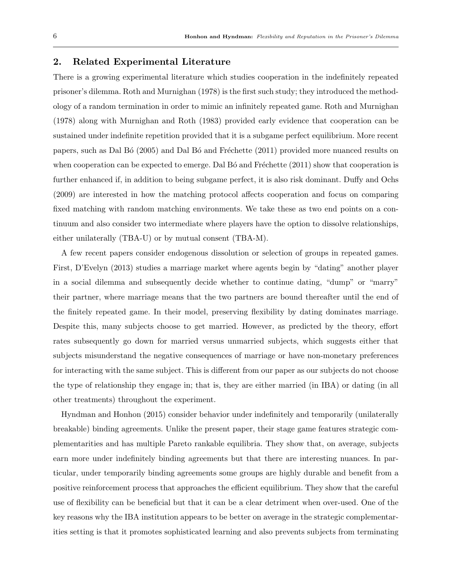## 2. Related Experimental Literature

There is a growing experimental literature which studies cooperation in the indefinitely repeated prisoner's dilemma. Roth and Murnighan (1978) is the first such study; they introduced the methodology of a random termination in order to mimic an infinitely repeated game. Roth and Murnighan (1978) along with Murnighan and Roth (1983) provided early evidence that cooperation can be sustained under indefinite repetition provided that it is a subgame perfect equilibrium. More recent papers, such as Dal Bó (2005) and Dal Bó and Fréchette (2011) provided more nuanced results on when cooperation can be expected to emerge. Dal  $B\acute{o}$  and Fréchette (2011) show that cooperation is further enhanced if, in addition to being subgame perfect, it is also risk dominant. Duffy and Ochs (2009) are interested in how the matching protocol affects cooperation and focus on comparing fixed matching with random matching environments. We take these as two end points on a continuum and also consider two intermediate where players have the option to dissolve relationships, either unilaterally (TBA-U) or by mutual consent (TBA-M).

A few recent papers consider endogenous dissolution or selection of groups in repeated games. First, D'Evelyn (2013) studies a marriage market where agents begin by "dating" another player in a social dilemma and subsequently decide whether to continue dating, "dump" or "marry" their partner, where marriage means that the two partners are bound thereafter until the end of the finitely repeated game. In their model, preserving flexibility by dating dominates marriage. Despite this, many subjects choose to get married. However, as predicted by the theory, effort rates subsequently go down for married versus unmarried subjects, which suggests either that subjects misunderstand the negative consequences of marriage or have non-monetary preferences for interacting with the same subject. This is different from our paper as our subjects do not choose the type of relationship they engage in; that is, they are either married (in IBA) or dating (in all other treatments) throughout the experiment.

Hyndman and Honhon (2015) consider behavior under indefinitely and temporarily (unilaterally breakable) binding agreements. Unlike the present paper, their stage game features strategic complementarities and has multiple Pareto rankable equilibria. They show that, on average, subjects earn more under indefinitely binding agreements but that there are interesting nuances. In particular, under temporarily binding agreements some groups are highly durable and benefit from a positive reinforcement process that approaches the efficient equilibrium. They show that the careful use of flexibility can be beneficial but that it can be a clear detriment when over-used. One of the key reasons why the IBA institution appears to be better on average in the strategic complementarities setting is that it promotes sophisticated learning and also prevents subjects from terminating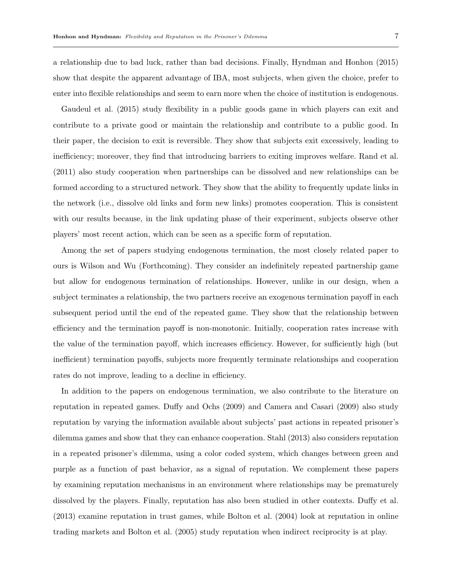a relationship due to bad luck, rather than bad decisions. Finally, Hyndman and Honhon (2015) show that despite the apparent advantage of IBA, most subjects, when given the choice, prefer to enter into flexible relationships and seem to earn more when the choice of institution is endogenous.

Gaudeul et al. (2015) study flexibility in a public goods game in which players can exit and contribute to a private good or maintain the relationship and contribute to a public good. In their paper, the decision to exit is reversible. They show that subjects exit excessively, leading to inefficiency; moreover, they find that introducing barriers to exiting improves welfare. Rand et al. (2011) also study cooperation when partnerships can be dissolved and new relationships can be formed according to a structured network. They show that the ability to frequently update links in the network (i.e., dissolve old links and form new links) promotes cooperation. This is consistent with our results because, in the link updating phase of their experiment, subjects observe other players' most recent action, which can be seen as a specific form of reputation.

Among the set of papers studying endogenous termination, the most closely related paper to ours is Wilson and Wu (Forthcoming). They consider an indefinitely repeated partnership game but allow for endogenous termination of relationships. However, unlike in our design, when a subject terminates a relationship, the two partners receive an exogenous termination payoff in each subsequent period until the end of the repeated game. They show that the relationship between efficiency and the termination payoff is non-monotonic. Initially, cooperation rates increase with the value of the termination payoff, which increases efficiency. However, for sufficiently high (but inefficient) termination payoffs, subjects more frequently terminate relationships and cooperation rates do not improve, leading to a decline in efficiency.

In addition to the papers on endogenous termination, we also contribute to the literature on reputation in repeated games. Duffy and Ochs (2009) and Camera and Casari (2009) also study reputation by varying the information available about subjects' past actions in repeated prisoner's dilemma games and show that they can enhance cooperation. Stahl (2013) also considers reputation in a repeated prisoner's dilemma, using a color coded system, which changes between green and purple as a function of past behavior, as a signal of reputation. We complement these papers by examining reputation mechanisms in an environment where relationships may be prematurely dissolved by the players. Finally, reputation has also been studied in other contexts. Duffy et al. (2013) examine reputation in trust games, while Bolton et al. (2004) look at reputation in online trading markets and Bolton et al. (2005) study reputation when indirect reciprocity is at play.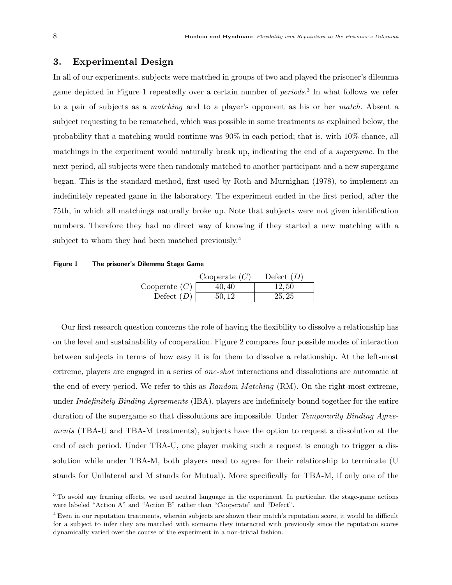# 3. Experimental Design

In all of our experiments, subjects were matched in groups of two and played the prisoner's dilemma game depicted in Figure 1 repeatedly over a certain number of *periods*.<sup>3</sup> In what follows we refer to a pair of subjects as a matching and to a player's opponent as his or her match. Absent a subject requesting to be rematched, which was possible in some treatments as explained below, the probability that a matching would continue was 90% in each period; that is, with 10% chance, all matchings in the experiment would naturally break up, indicating the end of a supergame. In the next period, all subjects were then randomly matched to another participant and a new supergame began. This is the standard method, first used by Roth and Murnighan (1978), to implement an indefinitely repeated game in the laboratory. The experiment ended in the first period, after the 75th, in which all matchings naturally broke up. Note that subjects were not given identification numbers. Therefore they had no direct way of knowing if they started a new matching with a subject to whom they had been matched previously.<sup>4</sup>

#### Figure 1 The prisoner's Dilemma Stage Game

|                 | Cooperate $(C)$ | Defect $(D)$ |
|-----------------|-----------------|--------------|
| Cooperate $(C)$ | 40,40           | 12,50        |
| Defect $(D)$    | 50.12           | 25, 25       |

Our first research question concerns the role of having the flexibility to dissolve a relationship has on the level and sustainability of cooperation. Figure 2 compares four possible modes of interaction between subjects in terms of how easy it is for them to dissolve a relationship. At the left-most extreme, players are engaged in a series of one-shot interactions and dissolutions are automatic at the end of every period. We refer to this as Random Matching (RM). On the right-most extreme, under Indefinitely Binding Agreements (IBA), players are indefinitely bound together for the entire duration of the supergame so that dissolutions are impossible. Under *Temporarily Binding Agree*ments (TBA-U and TBA-M treatments), subjects have the option to request a dissolution at the end of each period. Under TBA-U, one player making such a request is enough to trigger a dissolution while under TBA-M, both players need to agree for their relationship to terminate (U stands for Unilateral and M stands for Mutual). More specifically for TBA-M, if only one of the

<sup>&</sup>lt;sup>3</sup> To avoid any framing effects, we used neutral language in the experiment. In particular, the stage-game actions were labeled "Action A" and "Action B" rather than "Cooperate" and "Defect".

<sup>&</sup>lt;sup>4</sup> Even in our reputation treatments, wherein subjects are shown their match's reputation score, it would be difficult for a subject to infer they are matched with someone they interacted with previously since the reputation scores dynamically varied over the course of the experiment in a non-trivial fashion.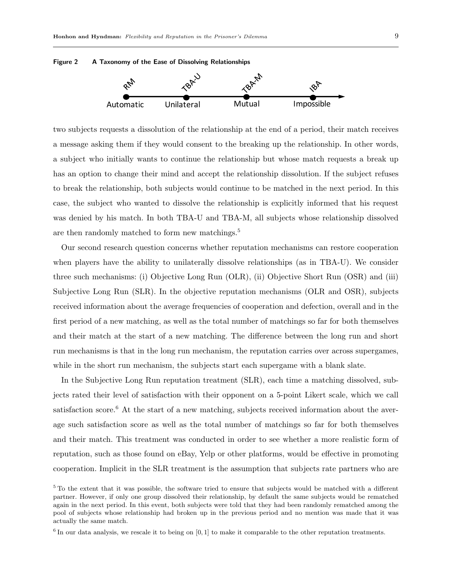



two subjects requests a dissolution of the relationship at the end of a period, their match receives a message asking them if they would consent to the breaking up the relationship. In other words, a subject who initially wants to continue the relationship but whose match requests a break up has an option to change their mind and accept the relationship dissolution. If the subject refuses to break the relationship, both subjects would continue to be matched in the next period. In this case, the subject who wanted to dissolve the relationship is explicitly informed that his request was denied by his match. In both TBA-U and TBA-M, all subjects whose relationship dissolved are then randomly matched to form new matchings.<sup>5</sup>

Our second research question concerns whether reputation mechanisms can restore cooperation when players have the ability to unilaterally dissolve relationships (as in TBA-U). We consider three such mechanisms: (i) Objective Long Run (OLR), (ii) Objective Short Run (OSR) and (iii) Subjective Long Run (SLR). In the objective reputation mechanisms (OLR and OSR), subjects received information about the average frequencies of cooperation and defection, overall and in the first period of a new matching, as well as the total number of matchings so far for both themselves and their match at the start of a new matching. The difference between the long run and short run mechanisms is that in the long run mechanism, the reputation carries over across supergames, while in the short run mechanism, the subjects start each supergame with a blank slate.

In the Subjective Long Run reputation treatment (SLR), each time a matching dissolved, subjects rated their level of satisfaction with their opponent on a 5-point Likert scale, which we call satisfaction score.<sup>6</sup> At the start of a new matching, subjects received information about the average such satisfaction score as well as the total number of matchings so far for both themselves and their match. This treatment was conducted in order to see whether a more realistic form of reputation, such as those found on eBay, Yelp or other platforms, would be effective in promoting cooperation. Implicit in the SLR treatment is the assumption that subjects rate partners who are

<sup>5</sup> To the extent that it was possible, the software tried to ensure that subjects would be matched with a different partner. However, if only one group dissolved their relationship, by default the same subjects would be rematched again in the next period. In this event, both subjects were told that they had been randomly rematched among the pool of subjects whose relationship had broken up in the previous period and no mention was made that it was actually the same match.

 $6$  In our data analysis, we rescale it to being on [0,1] to make it comparable to the other reputation treatments.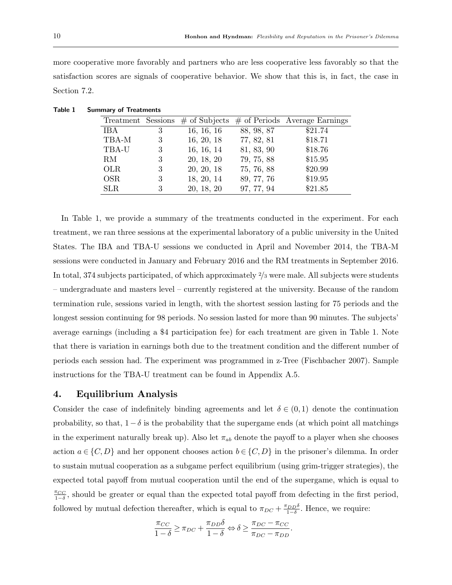more cooperative more favorably and partners who are less cooperative less favorably so that the satisfaction scores are signals of cooperative behavior. We show that this is, in fact, the case in Section 7.2.

|            |   |            |            | Treatment Sessions $\#$ of Subjects $\#$ of Periods Average Earnings |
|------------|---|------------|------------|----------------------------------------------------------------------|
| IBA        | 3 | 16, 16, 16 | 88, 98, 87 | \$21.74                                                              |
| TBA-M      | 3 | 16, 20, 18 | 77, 82, 81 | \$18.71                                                              |
| TBA-U      | 3 | 16, 16, 14 | 81, 83, 90 | \$18.76                                                              |
| RM         | 3 | 20, 18, 20 | 79, 75, 88 | \$15.95                                                              |
| <b>OLR</b> | 3 | 20, 20, 18 | 75, 76, 88 | \$20.99                                                              |
| <b>OSR</b> | 3 | 18, 20, 14 | 89, 77, 76 | \$19.95                                                              |
| <b>SLR</b> | 3 | 20, 18, 20 | 97, 77, 94 | \$21.85                                                              |

Table 1 Summary of Treatments

In Table 1, we provide a summary of the treatments conducted in the experiment. For each treatment, we ran three sessions at the experimental laboratory of a public university in the United States. The IBA and TBA-U sessions we conducted in April and November 2014, the TBA-M sessions were conducted in January and February 2016 and the RM treatments in September 2016. In total, 374 subjects participated, of which approximately <sup>2</sup>/<sup>3</sup> were male. All subjects were students – undergraduate and masters level – currently registered at the university. Because of the random termination rule, sessions varied in length, with the shortest session lasting for 75 periods and the longest session continuing for 98 periods. No session lasted for more than 90 minutes. The subjects' average earnings (including a \$4 participation fee) for each treatment are given in Table 1. Note that there is variation in earnings both due to the treatment condition and the different number of periods each session had. The experiment was programmed in z-Tree (Fischbacher 2007). Sample instructions for the TBA-U treatment can be found in Appendix A.5.

## 4. Equilibrium Analysis

Consider the case of indefinitely binding agreements and let  $\delta \in (0,1)$  denote the continuation probability, so that,  $1-\delta$  is the probability that the supergame ends (at which point all matchings in the experiment naturally break up). Also let  $\pi_{ab}$  denote the payoff to a player when she chooses action  $a \in \{C, D\}$  and her opponent chooses action  $b \in \{C, D\}$  in the prisoner's dilemma. In order to sustain mutual cooperation as a subgame perfect equilibrium (using grim-trigger strategies), the expected total payoff from mutual cooperation until the end of the supergame, which is equal to  $\frac{\pi_{CC}}{1-\delta}$ , should be greater or equal than the expected total payoff from defecting in the first period, followed by mutual defection thereafter, which is equal to  $\pi_{DC} + \frac{\pi_{DD}\delta}{1-\delta}$ . Hence, we require:

$$
\frac{\pi_{CC}}{1-\delta} \geq \pi_{DC} + \frac{\pi_{DD}\delta}{1-\delta} \Leftrightarrow \delta \geq \frac{\pi_{DC} - \pi_{CC}}{\pi_{DC} - \pi_{DD}}.
$$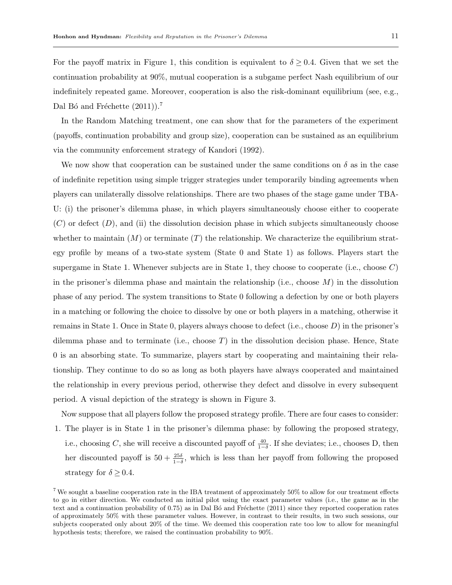For the payoff matrix in Figure 1, this condition is equivalent to  $\delta \geq 0.4$ . Given that we set the continuation probability at 90%, mutual cooperation is a subgame perfect Nash equilibrium of our indefinitely repeated game. Moreover, cooperation is also the risk-dominant equilibrium (see, e.g., Dal Bó and Fréchette  $(2011)$ ).<sup>7</sup>

In the Random Matching treatment, one can show that for the parameters of the experiment (payoffs, continuation probability and group size), cooperation can be sustained as an equilibrium via the community enforcement strategy of Kandori (1992).

We now show that cooperation can be sustained under the same conditions on  $\delta$  as in the case of indefinite repetition using simple trigger strategies under temporarily binding agreements when players can unilaterally dissolve relationships. There are two phases of the stage game under TBA-U: (i) the prisoner's dilemma phase, in which players simultaneously choose either to cooperate  $(C)$  or defect  $(D)$ , and (ii) the dissolution decision phase in which subjects simultaneously choose whether to maintain  $(M)$  or terminate  $(T)$  the relationship. We characterize the equilibrium strategy profile by means of a two-state system (State 0 and State 1) as follows. Players start the supergame in State 1. Whenever subjects are in State 1, they choose to cooperate (i.e., choose  $C$ ) in the prisoner's dilemma phase and maintain the relationship (i.e., choose  $M$ ) in the dissolution phase of any period. The system transitions to State 0 following a defection by one or both players in a matching or following the choice to dissolve by one or both players in a matching, otherwise it remains in State 1. Once in State 0, players always choose to defect (i.e., choose  $D$ ) in the prisoner's dilemma phase and to terminate (i.e., choose  $T$ ) in the dissolution decision phase. Hence, State 0 is an absorbing state. To summarize, players start by cooperating and maintaining their relationship. They continue to do so as long as both players have always cooperated and maintained the relationship in every previous period, otherwise they defect and dissolve in every subsequent period. A visual depiction of the strategy is shown in Figure 3.

Now suppose that all players follow the proposed strategy profile. There are four cases to consider: 1. The player is in State 1 in the prisoner's dilemma phase: by following the proposed strategy, i.e., choosing C, she will receive a discounted payoff of  $\frac{40}{1-\delta}$ . If she deviates; i.e., chooses D, then her discounted payoff is  $50 + \frac{25\delta}{1-\delta}$ , which is less than her payoff from following the proposed strategy for  $\delta \geq 0.4$ .

<sup>&</sup>lt;sup>7</sup> We sought a baseline cooperation rate in the IBA treatment of approximately  $50\%$  to allow for our treatment effects to go in either direction. We conducted an initial pilot using the exact parameter values (i.e., the game as in the text and a continuation probability of  $0.75$ ) as in Dal Bó and Fréchette (2011) since they reported cooperation rates of approximately 50% with these parameter values. However, in contrast to their results, in two such sessions, our subjects cooperated only about 20% of the time. We deemed this cooperation rate too low to allow for meaningful hypothesis tests; therefore, we raised the continuation probability to 90%.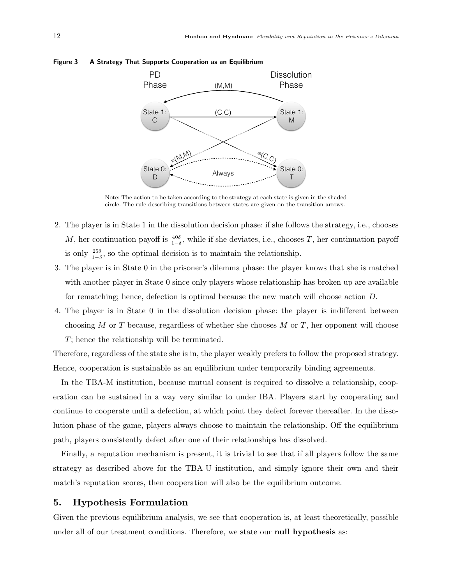

#### Figure 3 A Strategy That Supports Cooperation as an Equilibrium

Note: The action to be taken according to the strategy at each state is given in the shaded circle. The rule describing transitions between states are given on the transition arrows.

- 2. The player is in State 1 in the dissolution decision phase: if she follows the strategy, i.e., chooses M, her continuation payoff is  $\frac{40\delta}{1-\delta}$ , while if she deviates, i.e., chooses T, her continuation payoff is only  $\frac{25\delta}{1-\delta}$ , so the optimal decision is to maintain the relationship.
- 3. The player is in State 0 in the prisoner's dilemma phase: the player knows that she is matched with another player in State 0 since only players whose relationship has broken up are available for rematching; hence, defection is optimal because the new match will choose action D.
- 4. The player is in State 0 in the dissolution decision phase: the player is indifferent between choosing M or T because, regardless of whether she chooses M or T, her opponent will choose T; hence the relationship will be terminated.

Therefore, regardless of the state she is in, the player weakly prefers to follow the proposed strategy. Hence, cooperation is sustainable as an equilibrium under temporarily binding agreements.

In the TBA-M institution, because mutual consent is required to dissolve a relationship, cooperation can be sustained in a way very similar to under IBA. Players start by cooperating and continue to cooperate until a defection, at which point they defect forever thereafter. In the dissolution phase of the game, players always choose to maintain the relationship. Off the equilibrium path, players consistently defect after one of their relationships has dissolved.

Finally, a reputation mechanism is present, it is trivial to see that if all players follow the same strategy as described above for the TBA-U institution, and simply ignore their own and their match's reputation scores, then cooperation will also be the equilibrium outcome.

## 5. Hypothesis Formulation

Given the previous equilibrium analysis, we see that cooperation is, at least theoretically, possible under all of our treatment conditions. Therefore, we state our **null hypothesis** as: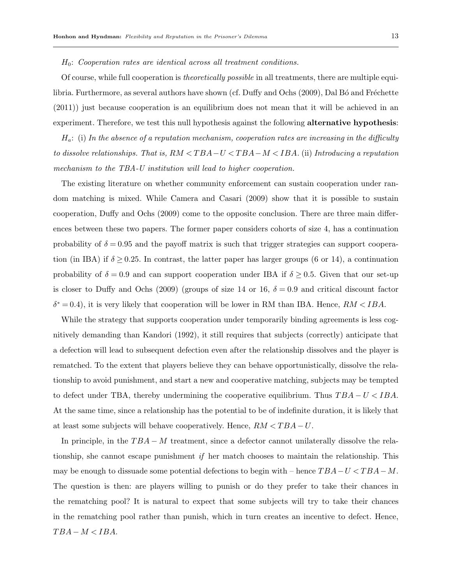$H_0$ : Cooperation rates are identical across all treatment conditions.

Of course, while full cooperation is theoretically possible in all treatments, there are multiple equilibria. Furthermore, as several authors have shown (cf. Duffy and Ochs (2009), Dal Bo and Fréchette (2011)) just because cooperation is an equilibrium does not mean that it will be achieved in an experiment. Therefore, we test this null hypothesis against the following **alternative hypothesis**:

 $H_a$ : (i) In the absence of a reputation mechanism, cooperation rates are increasing in the difficulty to dissolve relationships. That is,  $RM < TBA-U < TBA-M < IBA$ . (ii) Introducing a reputation mechanism to the TBA-U institution will lead to higher cooperation.

The existing literature on whether community enforcement can sustain cooperation under random matching is mixed. While Camera and Casari (2009) show that it is possible to sustain cooperation, Duffy and Ochs (2009) come to the opposite conclusion. There are three main differences between these two papers. The former paper considers cohorts of size 4, has a continuation probability of  $\delta = 0.95$  and the payoff matrix is such that trigger strategies can support cooperation (in IBA) if  $\delta \geq 0.25$ . In contrast, the latter paper has larger groups (6 or 14), a continuation probability of  $\delta = 0.9$  and can support cooperation under IBA if  $\delta \geq 0.5$ . Given that our set-up is closer to Duffy and Ochs (2009) (groups of size 14 or 16,  $\delta = 0.9$  and critical discount factor  $\delta^* = 0.4$ , it is very likely that cooperation will be lower in RM than IBA. Hence,  $RM < IBA$ .

While the strategy that supports cooperation under temporarily binding agreements is less cognitively demanding than Kandori (1992), it still requires that subjects (correctly) anticipate that a defection will lead to subsequent defection even after the relationship dissolves and the player is rematched. To the extent that players believe they can behave opportunistically, dissolve the relationship to avoid punishment, and start a new and cooperative matching, subjects may be tempted to defect under TBA, thereby undermining the cooperative equilibrium. Thus  $TBA - U < IBA$ . At the same time, since a relationship has the potential to be of indefinite duration, it is likely that at least some subjects will behave cooperatively. Hence,  $RM < TBA - U$ .

In principle, in the  $TBA - M$  treatment, since a defector cannot unilaterally dissolve the relationship, she cannot escape punishment if her match chooses to maintain the relationship. This may be enough to dissuade some potential defections to begin with – hence  $TBA-U < TBA-M$ . The question is then: are players willing to punish or do they prefer to take their chances in the rematching pool? It is natural to expect that some subjects will try to take their chances in the rematching pool rather than punish, which in turn creates an incentive to defect. Hence,  $TBA - M < IBA$ .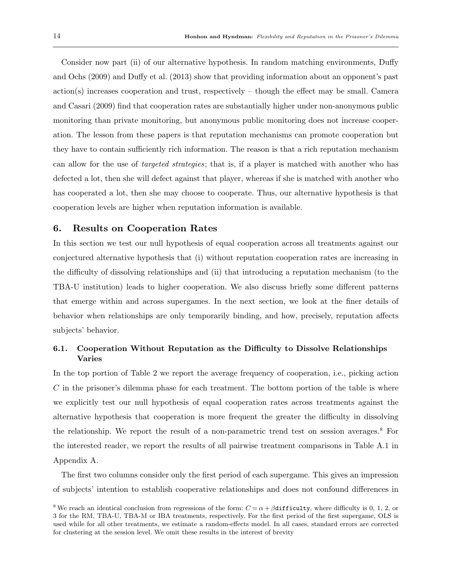Consider now part (ii) of our alternative hypothesis. In random matching environments, Duffy and Ochs (2009) and Duffy et al. (2013) show that providing information about an opponent's past action(s) increases cooperation and trust, respectively – though the effect may be small. Camera and Casari (2009) find that cooperation rates are substantially higher under non-anonymous public monitoring than private monitoring, but anonymous public monitoring does not increase cooperation. The lesson from these papers is that reputation mechanisms can promote cooperation but they have to contain sufficiently rich information. The reason is that a rich reputation mechanism can allow for the use of targeted strategies; that is, if a player is matched with another who has defected a lot, then she will defect against that player, whereas if she is matched with another who has cooperated a lot, then she may choose to cooperate. Thus, our alternative hypothesis is that cooperation levels are higher when reputation information is available.

## 6. Results on Cooperation Rates

In this section we test our null hypothesis of equal cooperation across all treatments against our conjectured alternative hypothesis that (i) without reputation cooperation rates are increasing in the difficulty of dissolving relationships and (ii) that introducing a reputation mechanism (to the TBA-U institution) leads to higher cooperation. We also discuss briefly some different patterns that emerge within and across supergames. In the next section, we look at the finer details of behavior when relationships are only temporarily binding, and how, precisely, reputation affects subjects' behavior.

# 6.1. Cooperation Without Reputation as the Difficulty to Dissolve Relationships Varies

In the top portion of Table 2 we report the average frequency of cooperation, i.e., picking action  $C$  in the prisoner's dilemma phase for each treatment. The bottom portion of the table is where we explicitly test our null hypothesis of equal cooperation rates across treatments against the alternative hypothesis that cooperation is more frequent the greater the difficulty in dissolving the relationship. We report the result of a non-parametric trend test on session averages.<sup>8</sup> For the interested reader, we report the results of all pairwise treatment comparisons in Table A.1 in Appendix A.

The first two columns consider only the first period of each supergame. This gives an impression of subjects' intention to establish cooperative relationships and does not confound differences in

<sup>&</sup>lt;sup>8</sup> We reach an identical conclusion from regressions of the form:  $C = \alpha + \beta$ difficulty, where difficulty is 0, 1, 2, or 3 for the RM, TBA-U, TBA-M or IBA treatments, respectively. For the first period of the first supergame, OLS is used while for all other treatments, we estimate a random-effects model. In all cases, standard errors are corrected for clustering at the session level. We omit these results in the interest of brevity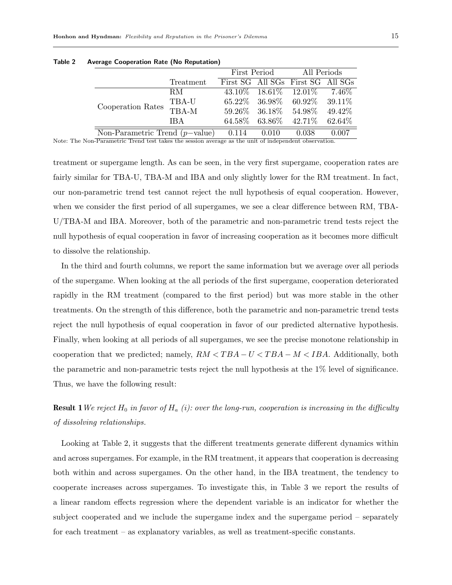|                                   |                                         | First Period |                               | All Periods                       |          |  |
|-----------------------------------|-----------------------------------------|--------------|-------------------------------|-----------------------------------|----------|--|
|                                   | Treatment                               |              |                               | First SG All SGs First SG All SGs |          |  |
|                                   | RM.                                     |              | $43.10\%$ $18.61\%$ $12.01\%$ |                                   | $7.46\%$ |  |
| Cooperation Rates                 | TBA-U                                   |              |                               | $60.92\%$ 39.11\%                 |          |  |
|                                   | $65.22\%$ 36.98\%<br>TBA-M<br>$59.26\%$ | - 36.18%     | 54.98%                        | 49.42%                            |          |  |
|                                   | <b>IBA</b>                              | $64.58\%$    | $63.86\%$                     | 42.71\%                           | 62.64%   |  |
| Non-Parametric Trend $(p$ -value) |                                         | 0.114        | 0.010                         | 0.038                             | 0.007    |  |

Table 2 Average Cooperation Rate (No Reputation)

Note: The Non-Parametric Trend test takes the session average as the unit of independent observation.

treatment or supergame length. As can be seen, in the very first supergame, cooperation rates are fairly similar for TBA-U, TBA-M and IBA and only slightly lower for the RM treatment. In fact, our non-parametric trend test cannot reject the null hypothesis of equal cooperation. However, when we consider the first period of all supergames, we see a clear difference between RM, TBA-U/TBA-M and IBA. Moreover, both of the parametric and non-parametric trend tests reject the null hypothesis of equal cooperation in favor of increasing cooperation as it becomes more difficult to dissolve the relationship.

In the third and fourth columns, we report the same information but we average over all periods of the supergame. When looking at the all periods of the first supergame, cooperation deteriorated rapidly in the RM treatment (compared to the first period) but was more stable in the other treatments. On the strength of this difference, both the parametric and non-parametric trend tests reject the null hypothesis of equal cooperation in favor of our predicted alternative hypothesis. Finally, when looking at all periods of all supergames, we see the precise monotone relationship in cooperation that we predicted; namely,  $RM < TBA - U < TBA - M < IBA$ . Additionally, both the parametric and non-parametric tests reject the null hypothesis at the 1% level of significance. Thus, we have the following result:

**Result 1**We reject  $H_0$  in favor of  $H_a$  (i): over the long-run, cooperation is increasing in the difficulty of dissolving relationships.

Looking at Table 2, it suggests that the different treatments generate different dynamics within and across supergames. For example, in the RM treatment, it appears that cooperation is decreasing both within and across supergames. On the other hand, in the IBA treatment, the tendency to cooperate increases across supergames. To investigate this, in Table 3 we report the results of a linear random effects regression where the dependent variable is an indicator for whether the subject cooperated and we include the supergame index and the supergame period – separately for each treatment – as explanatory variables, as well as treatment-specific constants.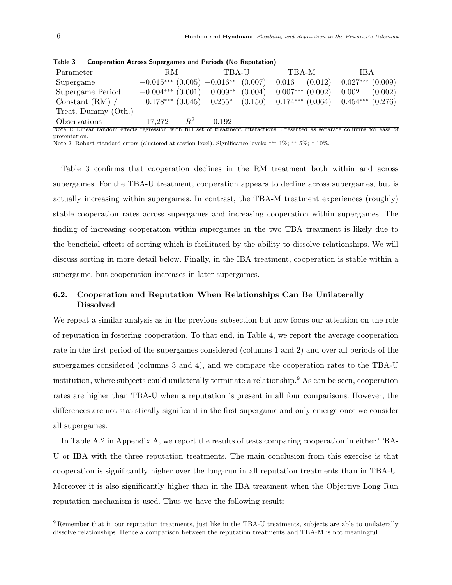| Parameter           | RM.                 | TBA-U                                                                             | TBA-M | <b>IBA</b>           |
|---------------------|---------------------|-----------------------------------------------------------------------------------|-------|----------------------|
| Supergame           |                     | $-0.015***$ $(0.005)$ $-0.016**$ $(0.007)$ $0.016$ $(0.012)$                      |       | $0.027***$ $(0.009)$ |
| Supergame Period    | $-0.004***$ (0.001) | $0.009^{**}$ $(0.004)$ $0.007^{***}$ $(0.002)$                                    |       | $0.002\,$<br>(0.002) |
| Constant $(RM)$ /   |                     | $0.178***$ $(0.045)$ $0.255*$ $(0.150)$ $0.174***$ $(0.064)$ $0.454***$ $(0.276)$ |       |                      |
| Treat. Dummy (Oth.) |                     |                                                                                   |       |                      |
| Observations        | $R^2$<br>17,272     | 0.192                                                                             |       |                      |

Table 3 Cooperation Across Supergames and Periods (No Reputation)

Note 1: Linear random effects regression with full set of treatment interactions. Presented as separate columns for ease of presentation.

Note 2: Robust standard errors (clustered at session level). Significance levels: ∗∗∗ 1%; ∗∗ 5%; <sup>∗</sup> 10%.

Table 3 confirms that cooperation declines in the RM treatment both within and across supergames. For the TBA-U treatment, cooperation appears to decline across supergames, but is actually increasing within supergames. In contrast, the TBA-M treatment experiences (roughly) stable cooperation rates across supergames and increasing cooperation within supergames. The finding of increasing cooperation within supergames in the two TBA treatment is likely due to the beneficial effects of sorting which is facilitated by the ability to dissolve relationships. We will discuss sorting in more detail below. Finally, in the IBA treatment, cooperation is stable within a supergame, but cooperation increases in later supergames.

# 6.2. Cooperation and Reputation When Relationships Can Be Unilaterally Dissolved

We repeat a similar analysis as in the previous subsection but now focus our attention on the role of reputation in fostering cooperation. To that end, in Table 4, we report the average cooperation rate in the first period of the supergames considered (columns 1 and 2) and over all periods of the supergames considered (columns 3 and 4), and we compare the cooperation rates to the TBA-U institution, where subjects could unilaterally terminate a relationship.<sup>9</sup> As can be seen, cooperation rates are higher than TBA-U when a reputation is present in all four comparisons. However, the differences are not statistically significant in the first supergame and only emerge once we consider all supergames.

In Table A.2 in Appendix A, we report the results of tests comparing cooperation in either TBA-U or IBA with the three reputation treatments. The main conclusion from this exercise is that cooperation is significantly higher over the long-run in all reputation treatments than in TBA-U. Moreover it is also significantly higher than in the IBA treatment when the Objective Long Run reputation mechanism is used. Thus we have the following result:

<sup>9</sup> Remember that in our reputation treatments, just like in the TBA-U treatments, subjects are able to unilaterally dissolve relationships. Hence a comparison between the reputation treatments and TBA-M is not meaningful.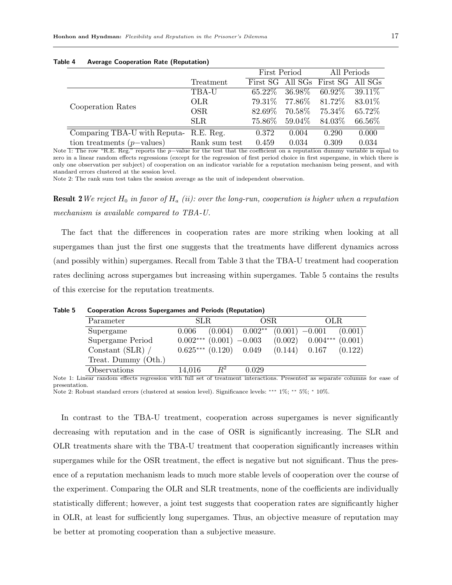|                                       |               | First Period |           | All Periods                       |           |
|---------------------------------------|---------------|--------------|-----------|-----------------------------------|-----------|
|                                       | Treatment     |              |           | First SG All SGs First SG All SGs |           |
|                                       | TBA-U         | $65.22\%$    | $36.98\%$ | $60.92\%$                         | 39.11\%   |
| Cooperation Rates                     | <b>OLR</b>    | 79.31%       |           | 77.86\% 81.72\%                   | 83.01\%   |
|                                       | OSR.          | 82.69%       | $70.58\%$ | $75.34\%$                         | 65.72%    |
|                                       | <b>SLR</b>    | 75.86%       | 59.04\%   | $84.03\%$                         | $66.56\%$ |
| Comparing TBA-U with Reputa-R.E. Reg. |               | 0.372        | 0.004     | 0.290                             | 0.000     |
| tion treatments $(p{\text{-values}})$ | Rank sum test | 0.459        | 0.034     | 0.309                             | 0.034     |

#### Table 4 Average Cooperation Rate (Reputation)

Note 1: The row "R.E. Reg." reports the p−value for the test that the coefficient on a reputation dummy variable is equal to zero in a linear random effects regressions (except for the regression of first period choice in first supergame, in which there is only one observation per subject) of cooperation on an indicator variable for a reputation mechanism being present, and with standard errors clustered at the session level.

Note 2: The rank sum test takes the session average as the unit of independent observation.

**Result 2**We reject  $H_0$  in favor of  $H_a$  (ii): over the long-run, cooperation is higher when a reputation mechanism is available compared to TBA-U.

The fact that the differences in cooperation rates are more striking when looking at all supergames than just the first one suggests that the treatments have different dynamics across (and possibly within) supergames. Recall from Table 3 that the TBA-U treatment had cooperation rates declining across supergames but increasing within supergames. Table 5 contains the results of this exercise for the reputation treatments.

Table 5 Cooperation Across Supergames and Periods (Reputation)

| Parameter           | SLR.                          |       | OSR.                |         | OLR.                 |         |
|---------------------|-------------------------------|-------|---------------------|---------|----------------------|---------|
| Supergame           | 0.006                         |       | $(0.004)$ $0.002**$ |         | $(0.001)$ $-0.001$   | (0.001) |
| Supergame Period    | $0.002***$ $(0.001)$ $-0.003$ |       |                     | (0.002) | $0.004***$ $(0.001)$ |         |
| Constant (SLR) /    | $0.625***$ $(0.120)$ 0.049    |       |                     |         | $(0.144)$ 0.167      | (0.122) |
| Treat. Dummy (Oth.) |                               |       |                     |         |                      |         |
| Observations        | 14,016                        | $R^2$ | 0.029               |         |                      |         |

Note 1: Linear random effects regression with full set of treatment interactions. Presented as separate columns for ease of presentation.

Note 2: Robust standard errors (clustered at session level). Significance levels: ∗∗∗ 1%; ∗∗ 5%; <sup>∗</sup> 10%.

In contrast to the TBA-U treatment, cooperation across supergames is never significantly decreasing with reputation and in the case of OSR is significantly increasing. The SLR and OLR treatments share with the TBA-U treatment that cooperation significantly increases within supergames while for the OSR treatment, the effect is negative but not significant. Thus the presence of a reputation mechanism leads to much more stable levels of cooperation over the course of the experiment. Comparing the OLR and SLR treatments, none of the coefficients are individually statistically different; however, a joint test suggests that cooperation rates are significantly higher in OLR, at least for sufficiently long supergames. Thus, an objective measure of reputation may be better at promoting cooperation than a subjective measure.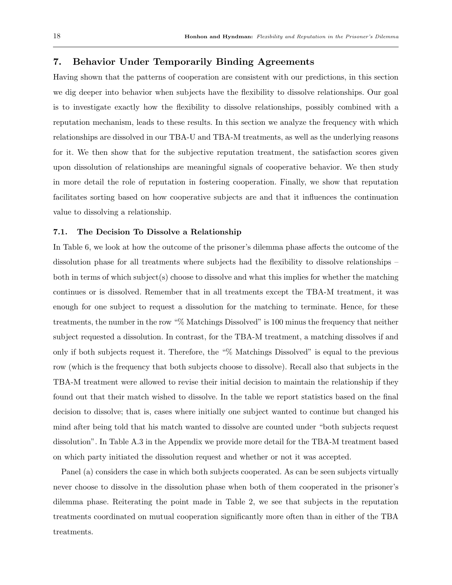## 7. Behavior Under Temporarily Binding Agreements

Having shown that the patterns of cooperation are consistent with our predictions, in this section we dig deeper into behavior when subjects have the flexibility to dissolve relationships. Our goal is to investigate exactly how the flexibility to dissolve relationships, possibly combined with a reputation mechanism, leads to these results. In this section we analyze the frequency with which relationships are dissolved in our TBA-U and TBA-M treatments, as well as the underlying reasons for it. We then show that for the subjective reputation treatment, the satisfaction scores given upon dissolution of relationships are meaningful signals of cooperative behavior. We then study in more detail the role of reputation in fostering cooperation. Finally, we show that reputation facilitates sorting based on how cooperative subjects are and that it influences the continuation value to dissolving a relationship.

## 7.1. The Decision To Dissolve a Relationship

In Table 6, we look at how the outcome of the prisoner's dilemma phase affects the outcome of the dissolution phase for all treatments where subjects had the flexibility to dissolve relationships – both in terms of which subject(s) choose to dissolve and what this implies for whether the matching continues or is dissolved. Remember that in all treatments except the TBA-M treatment, it was enough for one subject to request a dissolution for the matching to terminate. Hence, for these treatments, the number in the row "% Matchings Dissolved" is 100 minus the frequency that neither subject requested a dissolution. In contrast, for the TBA-M treatment, a matching dissolves if and only if both subjects request it. Therefore, the "% Matchings Dissolved" is equal to the previous row (which is the frequency that both subjects choose to dissolve). Recall also that subjects in the TBA-M treatment were allowed to revise their initial decision to maintain the relationship if they found out that their match wished to dissolve. In the table we report statistics based on the final decision to dissolve; that is, cases where initially one subject wanted to continue but changed his mind after being told that his match wanted to dissolve are counted under "both subjects request dissolution". In Table A.3 in the Appendix we provide more detail for the TBA-M treatment based on which party initiated the dissolution request and whether or not it was accepted.

Panel (a) considers the case in which both subjects cooperated. As can be seen subjects virtually never choose to dissolve in the dissolution phase when both of them cooperated in the prisoner's dilemma phase. Reiterating the point made in Table 2, we see that subjects in the reputation treatments coordinated on mutual cooperation significantly more often than in either of the TBA treatments.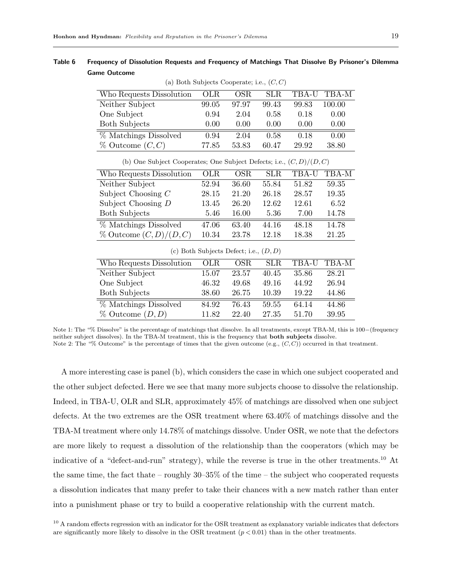| (a) Both Subjects Cooperate; i.e., $(C, C)$                            |            |                                          |            |       |        |  |
|------------------------------------------------------------------------|------------|------------------------------------------|------------|-------|--------|--|
| Who Requests Dissolution                                               | <b>OLR</b> | <b>OSR</b>                               | <b>SLR</b> | TBA-U | TBA-M  |  |
| Neither Subject                                                        | 99.05      | 97.97                                    | 99.43      | 99.83 | 100.00 |  |
| One Subject                                                            | 0.94       | 2.04                                     | 0.58       | 0.18  | 0.00   |  |
| <b>Both Subjects</b>                                                   | 0.00       | 0.00                                     | 0.00       | 0.00  | 0.00   |  |
| % Matchings Dissolved                                                  | 0.94       | 2.04                                     | 0.58       | 0.18  | 0.00   |  |
| $\%$ Outcome $(C, C)$                                                  | 77.85      | 53.83                                    | 60.47      | 29.92 | 38.80  |  |
| (b) One Subject Cooperates; One Subject Defects; i.e., $(C, D)/(D, C)$ |            |                                          |            |       |        |  |
| Who Requests Dissolution                                               | OLR        | <b>OSR</b>                               | <b>SLR</b> | TBA-U | TBA-M  |  |
| Neither Subject                                                        | 52.94      | 36.60                                    | 55.84      | 51.82 | 59.35  |  |
| Subject Choosing $C$                                                   | 28.15      | 21.20                                    | 26.18      | 28.57 | 19.35  |  |
| Subject Choosing $D$                                                   | 13.45      | 26.20                                    | 12.62      | 12.61 | 6.52   |  |
| <b>Both Subjects</b>                                                   | 5.46       | 16.00                                    | 5.36       | 7.00  | 14.78  |  |
| % Matchings Dissolved                                                  | 47.06      | 63.40                                    | 44.16      | 48.18 | 14.78  |  |
| $\%$ Outcome $(C, D)/(D, C)$                                           | 10.34      | 23.78                                    | 12.18      | 18.38 | 21.25  |  |
|                                                                        |            | (c) Both Subjects Defect; i.e., $(D, D)$ |            |       |        |  |
| Who Requests Dissolution                                               | OLR        | <b>OSR</b>                               | <b>SLR</b> | TBA-U | TBA-M  |  |
| Neither Subject                                                        | 15.07      | 23.57                                    | 40.45      | 35.86 | 28.21  |  |
| One Subject                                                            | 46.32      | 49.68                                    | 49.16      | 44.92 | 26.94  |  |
| <b>Both Subjects</b>                                                   | 38.60      | 26.75                                    | 10.39      | 19.22 | 44.86  |  |
| % Matchings Dissolved                                                  | 84.92      | 76.43                                    | 59.55      | 64.14 | 44.86  |  |
| $\%$ Outcome $(D, D)$                                                  | 11.82      | 22.40                                    | 27.35      | 51.70 | 39.95  |  |

Table 6 Frequency of Dissolution Requests and Frequency of Matchings That Dissolve By Prisoner's Dilemma Game Outcome

Note 1: The "% Dissolve" is the percentage of matchings that dissolve. In all treatments, except TBA-M, this is 100−(frequency neither subject dissolves). In the TBA-M treatment, this is the frequency that both subjects dissolve. Note 2: The "% Outcome" is the percentage of times that the given outcome (e.g.,  $(C, C)$ ) occurred in that treatment.

A more interesting case is panel (b), which considers the case in which one subject cooperated and the other subject defected. Here we see that many more subjects choose to dissolve the relationship. Indeed, in TBA-U, OLR and SLR, approximately 45% of matchings are dissolved when one subject defects. At the two extremes are the OSR treatment where 63.40% of matchings dissolve and the TBA-M treatment where only 14.78% of matchings dissolve. Under OSR, we note that the defectors are more likely to request a dissolution of the relationship than the cooperators (which may be indicative of a "defect-and-run" strategy), while the reverse is true in the other treatments.<sup>10</sup> At the same time, the fact thate – roughly  $30-35\%$  of the time – the subject who cooperated requests a dissolution indicates that many prefer to take their chances with a new match rather than enter into a punishment phase or try to build a cooperative relationship with the current match.

<sup>10</sup> A random effects regression with an indicator for the OSR treatment as explanatory variable indicates that defectors are significantly more likely to dissolve in the OSR treatment  $(p < 0.01)$  than in the other treatments.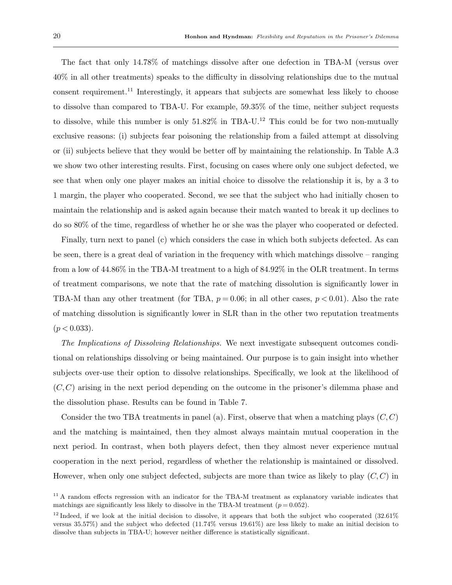The fact that only 14.78% of matchings dissolve after one defection in TBA-M (versus over 40% in all other treatments) speaks to the difficulty in dissolving relationships due to the mutual consent requirement.<sup>11</sup> Interestingly, it appears that subjects are somewhat less likely to choose to dissolve than compared to TBA-U. For example, 59.35% of the time, neither subject requests to dissolve, while this number is only  $51.82\%$  in TBA-U.<sup>12</sup> This could be for two non-mutually exclusive reasons: (i) subjects fear poisoning the relationship from a failed attempt at dissolving or (ii) subjects believe that they would be better off by maintaining the relationship. In Table A.3 we show two other interesting results. First, focusing on cases where only one subject defected, we see that when only one player makes an initial choice to dissolve the relationship it is, by a 3 to 1 margin, the player who cooperated. Second, we see that the subject who had initially chosen to maintain the relationship and is asked again because their match wanted to break it up declines to do so 80% of the time, regardless of whether he or she was the player who cooperated or defected.

Finally, turn next to panel (c) which considers the case in which both subjects defected. As can be seen, there is a great deal of variation in the frequency with which matchings dissolve – ranging from a low of 44.86% in the TBA-M treatment to a high of 84.92% in the OLR treatment. In terms of treatment comparisons, we note that the rate of matching dissolution is significantly lower in TBA-M than any other treatment (for TBA,  $p = 0.06$ ; in all other cases,  $p < 0.01$ ). Also the rate of matching dissolution is significantly lower in SLR than in the other two reputation treatments  $(p < 0.033)$ .

The Implications of Dissolving Relationships. We next investigate subsequent outcomes conditional on relationships dissolving or being maintained. Our purpose is to gain insight into whether subjects over-use their option to dissolve relationships. Specifically, we look at the likelihood of  $(C, C)$  arising in the next period depending on the outcome in the prisoner's dilemma phase and the dissolution phase. Results can be found in Table 7.

Consider the two TBA treatments in panel (a). First, observe that when a matching plays  $(C, C)$ and the matching is maintained, then they almost always maintain mutual cooperation in the next period. In contrast, when both players defect, then they almost never experience mutual cooperation in the next period, regardless of whether the relationship is maintained or dissolved. However, when only one subject defected, subjects are more than twice as likely to play  $(C, C)$  in

<sup>&</sup>lt;sup>11</sup> A random effects regression with an indicator for the TBA-M treatment as explanatory variable indicates that matchings are significantly less likely to dissolve in the TBA-M treatment  $(p=0.052)$ .

 $12$  Indeed, if we look at the initial decision to dissolve, it appears that both the subject who cooperated (32.61%) versus 35.57%) and the subject who defected (11.74% versus 19.61%) are less likely to make an initial decision to dissolve than subjects in TBA-U; however neither difference is statistically significant.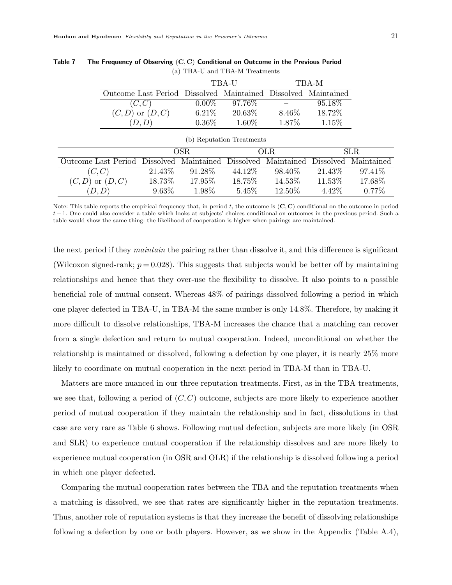|                                                               |          | TBA-U  |        | TBA-M   |
|---------------------------------------------------------------|----------|--------|--------|---------|
| Outcome Last Period Dissolved Maintained Dissolved Maintained |          |        |        |         |
| (C, C)                                                        | $0.00\%$ | 97.76% |        | 95.18\% |
| $(C,D)$ or $(D,C)$                                            | $6.21\%$ | 20.63% | 8.46\% | 18.72%  |
|                                                               | $0.36\%$ | 1.60%  | 1.87\% | 1.15\%  |

Table 7 The Frequency of Observing  $(C, C)$  Conditional on Outcome in the Previous Period (a) TBA-U and TBA-M Treatments

| (b) Reputation Treatments                                                          |          |         |         |         |         |          |  |  |  |
|------------------------------------------------------------------------------------|----------|---------|---------|---------|---------|----------|--|--|--|
|                                                                                    | OSR.     |         |         | OLR.    | SLR.    |          |  |  |  |
| Outcome Last Period Dissolved Maintained Dissolved Maintained Dissolved Maintained |          |         |         |         |         |          |  |  |  |
| (C, C)                                                                             | 21.43\%  | 91.28\% | 44.12\% | 98.40\% | 21.43\% | 97.41\%  |  |  |  |
| $(C, D)$ or $(D, C)$                                                               | 18.73%   | 17.95%  | 18.75%  | 14.53%  | 11.53%  | 17.68%   |  |  |  |
| (D,D)                                                                              | $9.63\%$ | 1.98%   | 5.45%   | 12.50\% | 4.42\%  | $0.77\%$ |  |  |  |

Note: This table reports the empirical frequency that, in period  $t$ , the outcome is  $(C, C)$  conditional on the outcome in period t − 1. One could also consider a table which looks at subjects' choices conditional on outcomes in the previous period. Such a table would show the same thing: the likelihood of cooperation is higher when pairings are maintained.

the next period if they maintain the pairing rather than dissolve it, and this difference is significant (Wilcoxon signed-rank;  $p = 0.028$ ). This suggests that subjects would be better off by maintaining relationships and hence that they over-use the flexibility to dissolve. It also points to a possible beneficial role of mutual consent. Whereas 48% of pairings dissolved following a period in which one player defected in TBA-U, in TBA-M the same number is only 14.8%. Therefore, by making it more difficult to dissolve relationships, TBA-M increases the chance that a matching can recover from a single defection and return to mutual cooperation. Indeed, unconditional on whether the relationship is maintained or dissolved, following a defection by one player, it is nearly 25% more likely to coordinate on mutual cooperation in the next period in TBA-M than in TBA-U.

Matters are more nuanced in our three reputation treatments. First, as in the TBA treatments, we see that, following a period of  $(C, C)$  outcome, subjects are more likely to experience another period of mutual cooperation if they maintain the relationship and in fact, dissolutions in that case are very rare as Table 6 shows. Following mutual defection, subjects are more likely (in OSR and SLR) to experience mutual cooperation if the relationship dissolves and are more likely to experience mutual cooperation (in OSR and OLR) if the relationship is dissolved following a period in which one player defected.

Comparing the mutual cooperation rates between the TBA and the reputation treatments when a matching is dissolved, we see that rates are significantly higher in the reputation treatments. Thus, another role of reputation systems is that they increase the benefit of dissolving relationships following a defection by one or both players. However, as we show in the Appendix (Table A.4),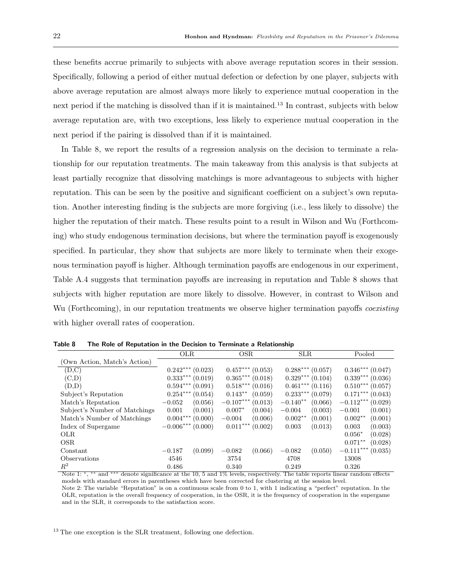these benefits accrue primarily to subjects with above average reputation scores in their session. Specifically, following a period of either mutual defection or defection by one player, subjects with above average reputation are almost always more likely to experience mutual cooperation in the next period if the matching is dissolved than if it is maintained.<sup>13</sup> In contrast, subjects with below average reputation are, with two exceptions, less likely to experience mutual cooperation in the next period if the pairing is dissolved than if it is maintained.

In Table 8, we report the results of a regression analysis on the decision to terminate a relationship for our reputation treatments. The main takeaway from this analysis is that subjects at least partially recognize that dissolving matchings is more advantageous to subjects with higher reputation. This can be seen by the positive and significant coefficient on a subject's own reputation. Another interesting finding is the subjects are more forgiving (i.e., less likely to dissolve) the higher the reputation of their match. These results point to a result in Wilson and Wu (Forthcoming) who study endogenous termination decisions, but where the termination payoff is exogenously specified. In particular, they show that subjects are more likely to terminate when their exogenous termination payoff is higher. Although termination payoffs are endogenous in our experiment, Table A.4 suggests that termination payoffs are increasing in reputation and Table 8 shows that subjects with higher reputation are more likely to dissolve. However, in contrast to Wilson and Wu (Forthcoming), in our reputation treatments we observe higher termination payoffs *coexisting* with higher overall rates of cooperation.

|                               | OLR.              | OSR.                  | <b>SLR</b>            | Pooled               |
|-------------------------------|-------------------|-----------------------|-----------------------|----------------------|
| (Own Action, Match's Action)  |                   |                       |                       |                      |
| (D,C)                         | $0.242***(0.023)$ | $0.457***$<br>(0.053) | $0.288***$<br>(0.057) | $0.346***$ (0.047)   |
| (C,D)                         | $0.333***$        | $0.365***$            | $0.329***$            | $0.339***$           |
|                               | (0.019)           | (0.018)               | (0.104)               | (0.036)              |
| (D,D)                         | $0.594***$        | $0.518***$            | $0.461***$            | $0.510***$           |
|                               | (0.091)           | (0.016)               | (0.116)               | (0.057)              |
| Subject's Reputation          | $0.254***$        | $0.143**$             | $0.233***$            | $0.171***$           |
|                               | (0.054)           | (0.059)               | (0.079)               | (0.043)              |
| Match's Reputation            | (0.056)           | $-0.107***$           | $-0.140**$            | $-0.112***$          |
|                               | $-0.052$          | (0.013)               | (0.066)               | (0.029)              |
| Subject's Number of Matchings | (0.001)           | (0.004)               | (0.003)               | (0.001)              |
|                               | 0.001             | $0.007*$              | $-0.004$              | $-0.001$             |
| Match's Number of Matchings   | $0.004***$        | (0.006)               | $0.002**$             | $0.002**$            |
|                               | (0.000)           | $-0.004$              | (0.001)               | (0.001)              |
| Index of Supergame            | $-0.006***$       | $0.011***$            | (0.013)               | 0.003                |
|                               | (0.000)           | (0.002)               | 0.003                 | (0.003)              |
| <b>OLR</b>                    |                   |                       |                       | $0.056*$<br>(0.028)  |
| OSR.                          |                   |                       |                       | $0.071**$<br>(0.028) |
| Constant                      | (0.099)           | (0.066)               | (0.050)               | $-0.111***$          |
|                               | $-0.187$          | $-0.082$              | $-0.082$              | (0.035)              |
| Observations                  | 4546              | 3754                  | 4708                  | 13008                |
| $R^2$                         | 0.486             | 0.340                 | 0.249                 | 0.326                |

Table 8 The Role of Reputation in the Decision to Terminate a Relationship

Note 1: \*, \*\* and \*\*\* denote significance at the 10, 5 and 1% levels, respectively. The table reports linear random effects models with standard errors in parentheses which have been corrected for clustering at the session level. Note 2: The variable "Reputation" is on a continuous scale from 0 to 1, with 1 indicating a "perfect" reputation. In the

OLR, reputation is the overall frequency of cooperation, in the OSR, it is the frequency of cooperation in the supergame and in the SLR, it corresponds to the satisfaction score.

<sup>13</sup> The one exception is the SLR treatment, following one defection.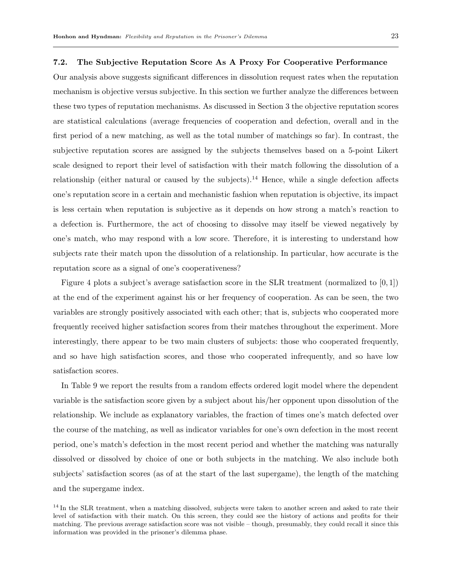#### 7.2. The Subjective Reputation Score As A Proxy For Cooperative Performance

Our analysis above suggests significant differences in dissolution request rates when the reputation mechanism is objective versus subjective. In this section we further analyze the differences between these two types of reputation mechanisms. As discussed in Section 3 the objective reputation scores are statistical calculations (average frequencies of cooperation and defection, overall and in the first period of a new matching, as well as the total number of matchings so far). In contrast, the subjective reputation scores are assigned by the subjects themselves based on a 5-point Likert scale designed to report their level of satisfaction with their match following the dissolution of a relationship (either natural or caused by the subjects).<sup>14</sup> Hence, while a single defection affects one's reputation score in a certain and mechanistic fashion when reputation is objective, its impact is less certain when reputation is subjective as it depends on how strong a match's reaction to a defection is. Furthermore, the act of choosing to dissolve may itself be viewed negatively by one's match, who may respond with a low score. Therefore, it is interesting to understand how subjects rate their match upon the dissolution of a relationship. In particular, how accurate is the reputation score as a signal of one's cooperativeness?

Figure 4 plots a subject's average satisfaction score in the SLR treatment (normalized to  $[0,1]$ ) at the end of the experiment against his or her frequency of cooperation. As can be seen, the two variables are strongly positively associated with each other; that is, subjects who cooperated more frequently received higher satisfaction scores from their matches throughout the experiment. More interestingly, there appear to be two main clusters of subjects: those who cooperated frequently, and so have high satisfaction scores, and those who cooperated infrequently, and so have low satisfaction scores.

In Table 9 we report the results from a random effects ordered logit model where the dependent variable is the satisfaction score given by a subject about his/her opponent upon dissolution of the relationship. We include as explanatory variables, the fraction of times one's match defected over the course of the matching, as well as indicator variables for one's own defection in the most recent period, one's match's defection in the most recent period and whether the matching was naturally dissolved or dissolved by choice of one or both subjects in the matching. We also include both subjects' satisfaction scores (as of at the start of the last supergame), the length of the matching and the supergame index.

<sup>&</sup>lt;sup>14</sup> In the SLR treatment, when a matching dissolved, subjects were taken to another screen and asked to rate their level of satisfaction with their match. On this screen, they could see the history of actions and profits for their matching. The previous average satisfaction score was not visible – though, presumably, they could recall it since this information was provided in the prisoner's dilemma phase.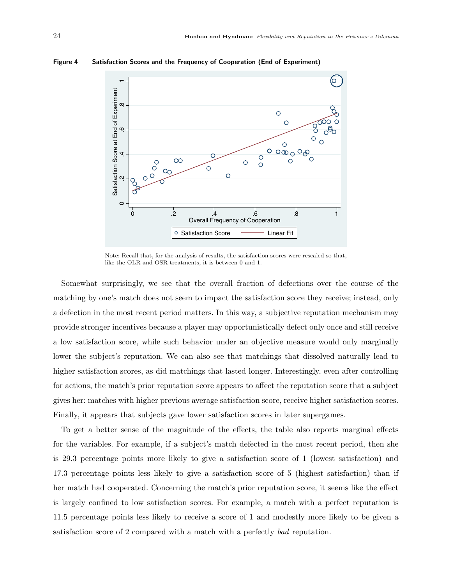

Figure 4 Satisfaction Scores and the Frequency of Cooperation (End of Experiment)

Note: Recall that, for the analysis of results, the satisfaction scores were rescaled so that, like the OLR and OSR treatments, it is between 0 and 1.

Somewhat surprisingly, we see that the overall fraction of defections over the course of the matching by one's match does not seem to impact the satisfaction score they receive; instead, only a defection in the most recent period matters. In this way, a subjective reputation mechanism may provide stronger incentives because a player may opportunistically defect only once and still receive a low satisfaction score, while such behavior under an objective measure would only marginally lower the subject's reputation. We can also see that matchings that dissolved naturally lead to higher satisfaction scores, as did matchings that lasted longer. Interestingly, even after controlling for actions, the match's prior reputation score appears to affect the reputation score that a subject gives her: matches with higher previous average satisfaction score, receive higher satisfaction scores. Finally, it appears that subjects gave lower satisfaction scores in later supergames.

To get a better sense of the magnitude of the effects, the table also reports marginal effects for the variables. For example, if a subject's match defected in the most recent period, then she is 29.3 percentage points more likely to give a satisfaction score of 1 (lowest satisfaction) and 17.3 percentage points less likely to give a satisfaction score of 5 (highest satisfaction) than if her match had cooperated. Concerning the match's prior reputation score, it seems like the effect is largely confined to low satisfaction scores. For example, a match with a perfect reputation is 11.5 percentage points less likely to receive a score of 1 and modestly more likely to be given a satisfaction score of 2 compared with a match with a perfectly bad reputation.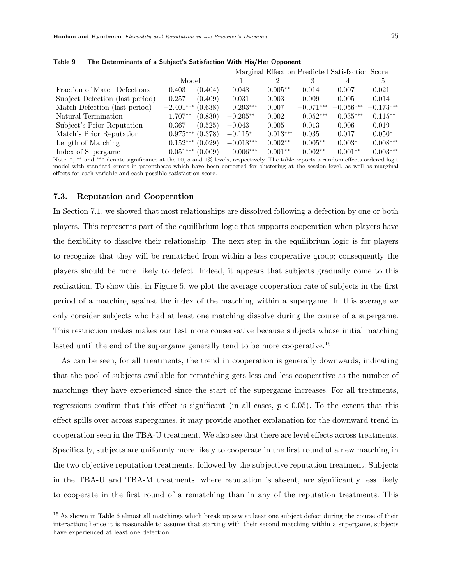|                                 |                     |         | Marginal Effect on Predicted Satisfaction Score |            |             |             |             |  |
|---------------------------------|---------------------|---------|-------------------------------------------------|------------|-------------|-------------|-------------|--|
|                                 | Model               |         |                                                 |            |             |             |             |  |
| Fraction of Match Defections    | $-0.403$            | (0.404) | 0.048                                           | $-0.005**$ | $-0.014$    | $-0.007$    | $-0.021$    |  |
| Subject Defection (last period) | $-0.257$            | (0.409) | 0.031                                           | $-0.003$   | $-0.009$    | $-0.005$    | $-0.014$    |  |
| Match Defection (last period)   | $-2.401***$         | (0.638) | $0.293***$                                      | 0.007      | $-0.071***$ | $-0.056***$ | $-0.173***$ |  |
| Natural Termination             | $1.707**$           | (0.830) | $-0.205**$                                      | 0.002      | $0.052***$  | $0.035***$  | $0.115***$  |  |
| Subject's Prior Reputation      | 0.367               | (0.525) | $-0.043$                                        | 0.005      | 0.013       | 0.006       | 0.019       |  |
| Match's Prior Reputation        | $0.975***$          | (0.378) | $-0.115*$                                       | $0.013***$ | 0.035       | 0.017       | $0.050*$    |  |
| Length of Matching              | $0.152***$          | (0.029) | $-0.018***$                                     | $0.002**$  | $0.005**$   | $0.003*$    | $0.008***$  |  |
| Index of Supergame              | $-0.051***$ (0.009) |         | $0.006***$                                      | $-0.001**$ | $-0.002**$  | $-0.001**$  | $-0.003***$ |  |

Table 9 The Determinants of a Subject's Satisfaction With His/Her Opponent

Note: \*, \*\* and \*\*\* denote significance at the 10, 5 and 1% levels, respectively. The table reports a random effects ordered logit model with standard errors in parentheses which have been corrected for clustering at the session level, as well as marginal effects for each variable and each possible satisfaction score.

## 7.3. Reputation and Cooperation

In Section 7.1, we showed that most relationships are dissolved following a defection by one or both players. This represents part of the equilibrium logic that supports cooperation when players have the flexibility to dissolve their relationship. The next step in the equilibrium logic is for players to recognize that they will be rematched from within a less cooperative group; consequently the players should be more likely to defect. Indeed, it appears that subjects gradually come to this realization. To show this, in Figure 5, we plot the average cooperation rate of subjects in the first period of a matching against the index of the matching within a supergame. In this average we only consider subjects who had at least one matching dissolve during the course of a supergame. This restriction makes makes our test more conservative because subjects whose initial matching lasted until the end of the supergame generally tend to be more cooperative.<sup>15</sup>

As can be seen, for all treatments, the trend in cooperation is generally downwards, indicating that the pool of subjects available for rematching gets less and less cooperative as the number of matchings they have experienced since the start of the supergame increases. For all treatments, regressions confirm that this effect is significant (in all cases,  $p < 0.05$ ). To the extent that this effect spills over across supergames, it may provide another explanation for the downward trend in cooperation seen in the TBA-U treatment. We also see that there are level effects across treatments. Specifically, subjects are uniformly more likely to cooperate in the first round of a new matching in the two objective reputation treatments, followed by the subjective reputation treatment. Subjects in the TBA-U and TBA-M treatments, where reputation is absent, are significantly less likely to cooperate in the first round of a rematching than in any of the reputation treatments. This

<sup>&</sup>lt;sup>15</sup> As shown in Table 6 almost all matchings which break up saw at least one subject defect during the course of their interaction; hence it is reasonable to assume that starting with their second matching within a supergame, subjects have experienced at least one defection.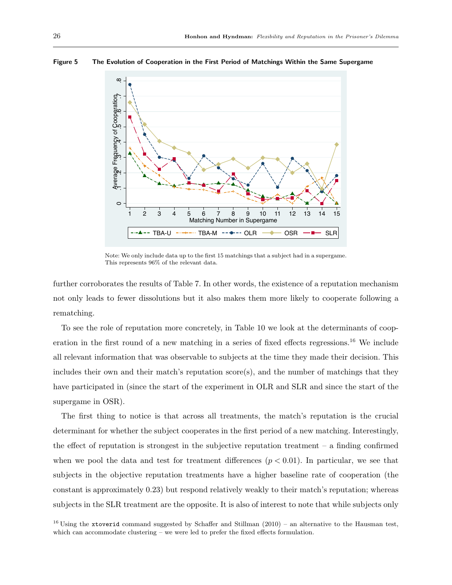

#### Figure 5 The Evolution of Cooperation in the First Period of Matchings Within the Same Supergame

Note: We only include data up to the first 15 matchings that a subject had in a supergame. This represents 96% of the relevant data.

further corroborates the results of Table 7. In other words, the existence of a reputation mechanism not only leads to fewer dissolutions but it also makes them more likely to cooperate following a rematching.

To see the role of reputation more concretely, in Table 10 we look at the determinants of cooperation in the first round of a new matching in a series of fixed effects regressions.<sup>16</sup> We include all relevant information that was observable to subjects at the time they made their decision. This includes their own and their match's reputation score(s), and the number of matchings that they have participated in (since the start of the experiment in OLR and SLR and since the start of the supergame in OSR).

The first thing to notice is that across all treatments, the match's reputation is the crucial determinant for whether the subject cooperates in the first period of a new matching. Interestingly, the effect of reputation is strongest in the subjective reputation treatment  $-$  a finding confirmed when we pool the data and test for treatment differences  $(p < 0.01)$ . In particular, we see that subjects in the objective reputation treatments have a higher baseline rate of cooperation (the constant is approximately 0.23) but respond relatively weakly to their match's reputation; whereas subjects in the SLR treatment are the opposite. It is also of interest to note that while subjects only

<sup>16</sup> Using the xtoverid command suggested by Schaffer and Stillman  $(2010)$  – an alternative to the Hausman test, which can accommodate clustering – we were led to prefer the fixed effects formulation.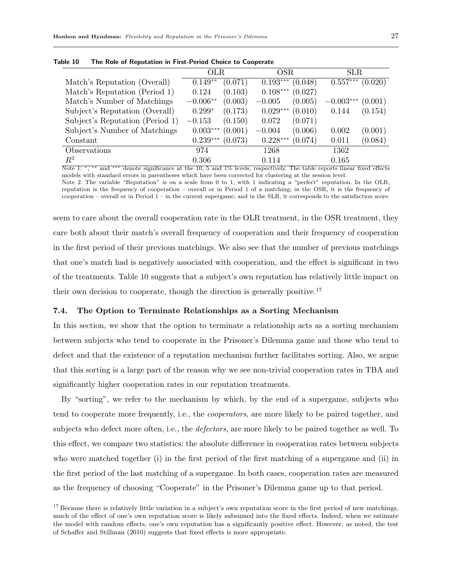|                                 | OLR.       |         | OSR.       |         | SLR         |         |
|---------------------------------|------------|---------|------------|---------|-------------|---------|
| Match's Reputation (Overall)    | $0.149**$  | (0.071) | $0.193***$ | (0.048) | $0.557***$  | (0.020) |
| Match's Reputation (Period 1)   | 0.124      | (0.103) | $0.108***$ | (0.027) |             |         |
| Match's Number of Matchings     | $-0.006**$ | (0.003) | $-0.005$   | (0.005) | $-0.003***$ | (0.001) |
| Subject's Reputation (Overall)  | $0.299*$   | (0.173) | $0.029***$ | (0.010) | 0.144       | (0.154) |
| Subject's Reputation (Period 1) | $-0.153$   | (0.150) | 0.072      | (0.071) |             |         |
| Subject's Number of Matchings   | $0.003***$ | (0.001) | $-0.004$   | (0.006) | 0.002       | (0.001) |
| Constant                        | $0.239***$ | (0.073) | $0.228***$ | (0.074) | 0.011       | (0.084) |
| Observations                    | 974        |         | 1268       |         | 1362        |         |
| $R^2$                           | 0.306      |         | 0.114      |         | 0.165       |         |

Table 10 The Role of Reputation in First-Period Choice to Cooperate

Note 1: \*, \*\* and \*\*\* denote significance at the 10, 5 and 1% levels, respectively. The table reports linear fixed effects models with standard errors in parentheses which have been corrected for clustering at the session level. Note 2: The variable "Reputation" is on a scale from 0 to 1, with 1 indicating a "perfect" reputation. In the OLR,

reputation is the frequency of cooperation – overall or in Period 1 of a matching; in the OSR, it is the frequency of cooperation – overall or in Period 1 – in the current supergame; and in the SLR, it corresponds to the satisfaction score.

seem to care about the overall cooperation rate in the OLR treatment, in the OSR treatment, they care both about their match's overall frequency of cooperation and their frequency of cooperation in the first period of their previous matchings. We also see that the number of previous matchings that one's match had is negatively associated with cooperation, and the effect is significant in two of the treatments. Table 10 suggests that a subject's own reputation has relatively little impact on their own decision to cooperate, though the direction is generally positive.<sup>17</sup>

## 7.4. The Option to Terminate Relationships as a Sorting Mechanism

In this section, we show that the option to terminate a relationship acts as a sorting mechanism between subjects who tend to cooperate in the Prisoner's Dilemma game and those who tend to defect and that the existence of a reputation mechanism further facilitates sorting. Also, we argue that this sorting is a large part of the reason why we see non-trivial cooperation rates in TBA and significantly higher cooperation rates in our reputation treatments.

By "sorting", we refer to the mechanism by which, by the end of a supergame, subjects who tend to cooperate more frequently, i.e., the cooperators, are more likely to be paired together, and subjects who defect more often, i.e., the *defectors*, are more likely to be paired together as well. To this effect, we compare two statistics: the absolute difference in cooperation rates between subjects who were matched together (i) in the first period of the first matching of a supergame and (ii) in the first period of the last matching of a supergame. In both cases, cooperation rates are measured as the frequency of choosing "Cooperate" in the Prisoner's Dilemma game up to that period.

 $17$  Because there is relatively little variation in a subject's own reputation score in the first period of new matchings, much of the effect of one's own reputation score is likely subsumed into the fixed effects. Indeed, when we estimate the model with random effects, one's own reputation has a significantly positive effect. However, as noted, the test of Schaffer and Stillman (2010) suggests that fixed effects is more appropriate.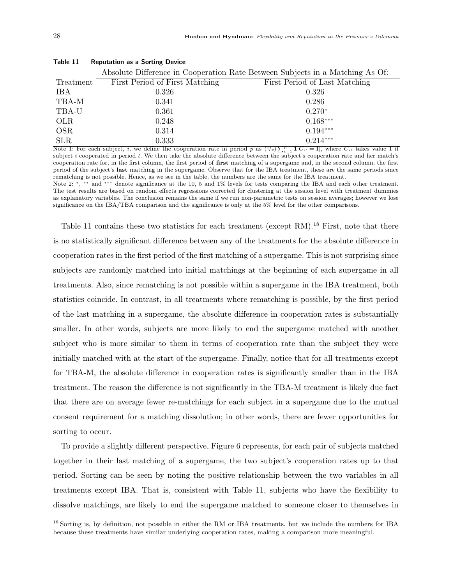|            |                                | Absolute Difference in Cooperation Rate Between Subjects in a Matching As Of: |
|------------|--------------------------------|-------------------------------------------------------------------------------|
| Treatment  | First Period of First Matching | First Period of Last Matching                                                 |
| IBA        | 0.326                          | 0.326                                                                         |
| TBA-M      | 0.341                          | 0.286                                                                         |
| TBA-U      | 0.361                          | $0.270*$                                                                      |
| <b>OLR</b> | 0.248                          | $0.168***$                                                                    |
| <b>OSR</b> | 0.314                          | $0.194***$                                                                    |
| <b>SLR</b> | 0.333                          | $0.214***$                                                                    |

Table 11 Reputation as a Sorting Device

Note 1: For each subject, *i*, we define the cooperation rate in period p as  $(1/p)\sum_{t=1}^p 1[C_{it} = 1]$ , where  $C_{it}$  takes value 1 if subject  $i$  cooperated in period  $t$ . We then take the absolute difference between the subject's cooperation rate and her match's cooperation rate for, in the first column, the first period of first matching of a supergame and, in the second column, the first period of the subject's last matching in the supergame. Observe that for the IBA treatment, these are the same periods since rematching is not possible. Hence, as we see in the table, the numbers are the same for the IBA treatment.

Note 2: \*, \*\* and \*\*\* denote significance at the 10, 5 and 1% levels for tests comparing the IBA and each other treatment. The test results are based on random effects regressions corrected for clustering at the session level with treatment dummies as explanatory variables. The conclusion remains the same if we run non-parametric tests on session averages; however we lose significance on the IBA/TBA comparison and the significance is only at the 5% level for the other comparisons.

Table 11 contains these two statistics for each treatment (except RM).<sup>18</sup> First, note that there is no statistically significant difference between any of the treatments for the absolute difference in cooperation rates in the first period of the first matching of a supergame. This is not surprising since subjects are randomly matched into initial matchings at the beginning of each supergame in all treatments. Also, since rematching is not possible within a supergame in the IBA treatment, both statistics coincide. In contrast, in all treatments where rematching is possible, by the first period of the last matching in a supergame, the absolute difference in cooperation rates is substantially smaller. In other words, subjects are more likely to end the supergame matched with another subject who is more similar to them in terms of cooperation rate than the subject they were initially matched with at the start of the supergame. Finally, notice that for all treatments except for TBA-M, the absolute difference in cooperation rates is significantly smaller than in the IBA treatment. The reason the difference is not significantly in the TBA-M treatment is likely due fact that there are on average fewer re-matchings for each subject in a supergame due to the mutual consent requirement for a matching dissolution; in other words, there are fewer opportunities for sorting to occur.

To provide a slightly different perspective, Figure 6 represents, for each pair of subjects matched together in their last matching of a supergame, the two subject's cooperation rates up to that period. Sorting can be seen by noting the positive relationship between the two variables in all treatments except IBA. That is, consistent with Table 11, subjects who have the flexibility to dissolve matchings, are likely to end the supergame matched to someone closer to themselves in

<sup>18</sup> Sorting is, by definition, not possible in either the RM or IBA treatments, but we include the numbers for IBA because these treatments have similar underlying cooperation rates, making a comparison more meaningful.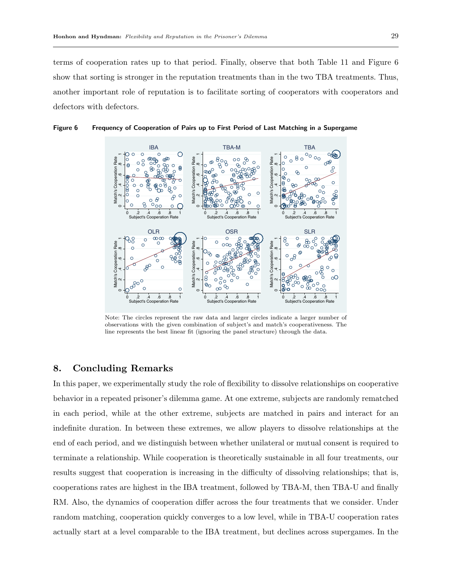terms of cooperation rates up to that period. Finally, observe that both Table 11 and Figure 6 show that sorting is stronger in the reputation treatments than in the two TBA treatments. Thus, another important role of reputation is to facilitate sorting of cooperators with cooperators and defectors with defectors.



Figure 6 Frequency of Cooperation of Pairs up to First Period of Last Matching in a Supergame

Note: The circles represent the raw data and larger circles indicate a larger number of observations with the given combination of subject's and match's cooperativeness. The line represents the best linear fit (ignoring the panel structure) through the data.

## 8. Concluding Remarks

In this paper, we experimentally study the role of flexibility to dissolve relationships on cooperative behavior in a repeated prisoner's dilemma game. At one extreme, subjects are randomly rematched in each period, while at the other extreme, subjects are matched in pairs and interact for an indefinite duration. In between these extremes, we allow players to dissolve relationships at the end of each period, and we distinguish between whether unilateral or mutual consent is required to terminate a relationship. While cooperation is theoretically sustainable in all four treatments, our results suggest that cooperation is increasing in the difficulty of dissolving relationships; that is, cooperations rates are highest in the IBA treatment, followed by TBA-M, then TBA-U and finally RM. Also, the dynamics of cooperation differ across the four treatments that we consider. Under random matching, cooperation quickly converges to a low level, while in TBA-U cooperation rates actually start at a level comparable to the IBA treatment, but declines across supergames. In the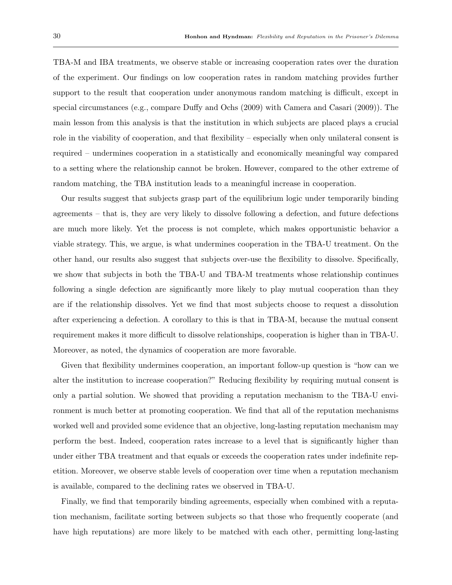TBA-M and IBA treatments, we observe stable or increasing cooperation rates over the duration of the experiment. Our findings on low cooperation rates in random matching provides further support to the result that cooperation under anonymous random matching is difficult, except in special circumstances (e.g., compare Duffy and Ochs (2009) with Camera and Casari (2009)). The main lesson from this analysis is that the institution in which subjects are placed plays a crucial role in the viability of cooperation, and that flexibility – especially when only unilateral consent is required – undermines cooperation in a statistically and economically meaningful way compared to a setting where the relationship cannot be broken. However, compared to the other extreme of random matching, the TBA institution leads to a meaningful increase in cooperation.

Our results suggest that subjects grasp part of the equilibrium logic under temporarily binding agreements – that is, they are very likely to dissolve following a defection, and future defections are much more likely. Yet the process is not complete, which makes opportunistic behavior a viable strategy. This, we argue, is what undermines cooperation in the TBA-U treatment. On the other hand, our results also suggest that subjects over-use the flexibility to dissolve. Specifically, we show that subjects in both the TBA-U and TBA-M treatments whose relationship continues following a single defection are significantly more likely to play mutual cooperation than they are if the relationship dissolves. Yet we find that most subjects choose to request a dissolution after experiencing a defection. A corollary to this is that in TBA-M, because the mutual consent requirement makes it more difficult to dissolve relationships, cooperation is higher than in TBA-U. Moreover, as noted, the dynamics of cooperation are more favorable.

Given that flexibility undermines cooperation, an important follow-up question is "how can we alter the institution to increase cooperation?" Reducing flexibility by requiring mutual consent is only a partial solution. We showed that providing a reputation mechanism to the TBA-U environment is much better at promoting cooperation. We find that all of the reputation mechanisms worked well and provided some evidence that an objective, long-lasting reputation mechanism may perform the best. Indeed, cooperation rates increase to a level that is significantly higher than under either TBA treatment and that equals or exceeds the cooperation rates under indefinite repetition. Moreover, we observe stable levels of cooperation over time when a reputation mechanism is available, compared to the declining rates we observed in TBA-U.

Finally, we find that temporarily binding agreements, especially when combined with a reputation mechanism, facilitate sorting between subjects so that those who frequently cooperate (and have high reputations) are more likely to be matched with each other, permitting long-lasting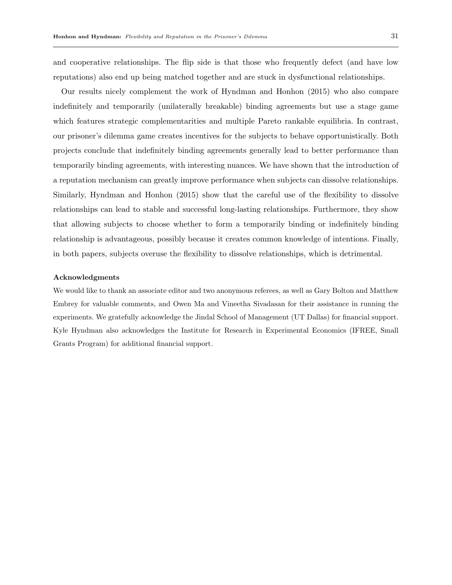and cooperative relationships. The flip side is that those who frequently defect (and have low reputations) also end up being matched together and are stuck in dysfunctional relationships.

Our results nicely complement the work of Hyndman and Honhon (2015) who also compare indefinitely and temporarily (unilaterally breakable) binding agreements but use a stage game which features strategic complementarities and multiple Pareto rankable equilibria. In contrast, our prisoner's dilemma game creates incentives for the subjects to behave opportunistically. Both projects conclude that indefinitely binding agreements generally lead to better performance than temporarily binding agreements, with interesting nuances. We have shown that the introduction of a reputation mechanism can greatly improve performance when subjects can dissolve relationships. Similarly, Hyndman and Honhon (2015) show that the careful use of the flexibility to dissolve relationships can lead to stable and successful long-lasting relationships. Furthermore, they show that allowing subjects to choose whether to form a temporarily binding or indefinitely binding relationship is advantageous, possibly because it creates common knowledge of intentions. Finally, in both papers, subjects overuse the flexibility to dissolve relationships, which is detrimental.

#### Acknowledgments

We would like to thank an associate editor and two anonymous referees, as well as Gary Bolton and Matthew Embrey for valuable comments, and Owen Ma and Vineetha Sivadasan for their assistance in running the experiments. We gratefully acknowledge the Jindal School of Management (UT Dallas) for financial support. Kyle Hyndman also acknowledges the Institute for Research in Experimental Economics (IFREE, Small Grants Program) for additional financial support.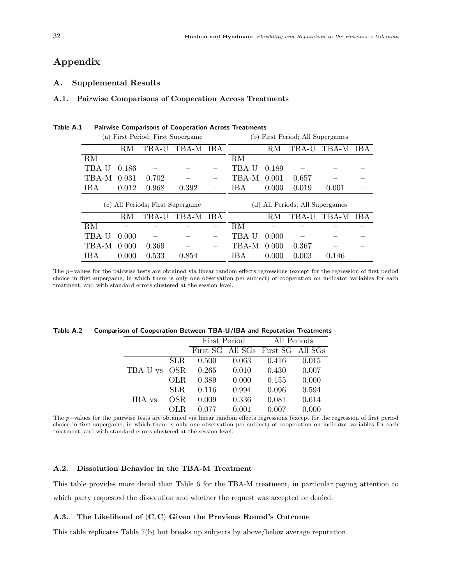# Appendix

## A. Supplemental Results

#### A.1. Pairwise Comparisons of Cooperation Across Treatments

| (a) First Period; First Supergame   |       |       |       |       |       | (b) First Period; All Supergames |                             |       |      |
|-------------------------------------|-------|-------|-------|-------|-------|----------------------------------|-----------------------------|-------|------|
|                                     | RМ    | TBA-U | TBA-M | - IBA |       | RM                               | TBA-U                       | TBA-M | IBA. |
| RM                                  |       |       |       |       | RM    |                                  |                             |       |      |
| TBA-U                               | 0.186 |       |       |       | TBA-U | 0.189                            |                             |       |      |
| TBA-M                               | 0.031 | 0.702 |       |       | TBA-M | 0.001                            | 0.657                       |       |      |
| IBA                                 | 0.012 | 0.968 | 0.392 |       | IBA   | 0.000                            | 0.019                       | 0.001 |      |
| All Periods; First Supergame<br>(c) |       |       |       |       |       |                                  |                             |       |      |
|                                     |       |       |       |       | (d)   |                                  | All Periods; All Supergames |       |      |
|                                     | RМ    | TBA-U | TBA-M | -IBA  |       | R.M                              | TBA-U                       | TBA-M | IB A |
| RM                                  |       |       |       |       | RM    |                                  |                             |       |      |
| TBA-U                               | 0.000 |       |       |       | TBA-U | 0.000                            |                             |       |      |
| TBA-M                               | 0.000 | 0.369 |       |       | TBA-M | 0.000                            | 0.367                       |       |      |

## Table A.1 Pairwise Comparisons of Cooperation Across Treatments

The p−values for the pairwise tests are obtained via linear random effects regressions (except for the regression of first period choice in first supergame, in which there is only one observation per subject) of cooperation on indicator variables for each treatment, and with standard errors clustered at the session level.

|              |      |       | First Period | All Periods                       |       |  |
|--------------|------|-------|--------------|-----------------------------------|-------|--|
|              |      |       |              | First SG All SGs First SG All SGs |       |  |
|              | SLR. | 0.500 | 0.063        | 0.416                             | 0.015 |  |
| TBA-U vs OSR |      | 0.265 | 0.010        | 0.430                             | 0.007 |  |
|              | OLR. | 0.389 | 0.000        | 0.155                             | 0.000 |  |
|              | SLR. | 0.116 | 0.994        | 0.096                             | 0.594 |  |
| IBA vs       | OSR. | 0.009 | 0.336        | 0.081                             | 0.614 |  |
|              |      | 0.077 | 0.001        | 0.007                             | 0.000 |  |

#### Table A.2 Comparison of Cooperation Between TBA-U/IBA and Reputation Treatments

The p−values for the pairwise tests are obtained via linear random effects regressions (except for the regression of first period choice in first supergame, in which there is only one observation per subject) of cooperation on indicator variables for each treatment, and with standard errors clustered at the session level.

## A.2. Dissolution Behavior in the TBA-M Treatment

This table provides more detail than Table 6 for the TBA-M treatment, in particular paying attention to which party requested the dissolution and whether the request was accepted or denied.

#### A.3. The Likelihood of (C, C) Given the Previous Round's Outcome

This table replicates Table 7(b) but breaks up subjects by above/below average reputation.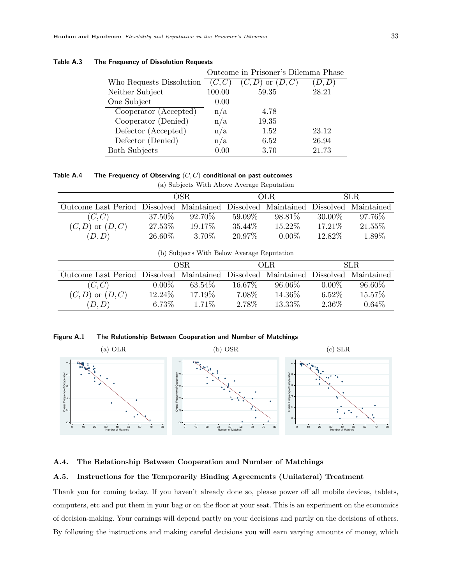|                          |        | Outcome in Prisoner's Dilemma Phase |       |
|--------------------------|--------|-------------------------------------|-------|
| Who Requests Dissolution |        | <sub>or</sub>                       | D.D   |
| Neither Subject          | 100.00 | 59.35                               | 28.21 |
| One Subject              | 0.00   |                                     |       |
| Cooperator (Accepted)    | n/a    | 4.78                                |       |
| Cooperator (Denied)      | n/a    | 19.35                               |       |
| Defector (Accepted)      | n/a    | 1.52                                | 23.12 |
| Defector (Denied)        | n/a    | 6.52                                | 26.94 |
| <b>Both Subjects</b>     | 0.00   | 3.70                                | 21.73 |

## Table A.3 The Frequency of Dissolution Requests

Table A.4 The Frequency of Observing  $(C, C)$  conditional on past outcomes

(a) Subjects With Above Average Reputation

|                                                                                    |         | OSR.      |           | OLR.     |         | SLR.      |
|------------------------------------------------------------------------------------|---------|-----------|-----------|----------|---------|-----------|
| Outcome Last Period Dissolved Maintained Dissolved Maintained Dissolved Maintained |         |           |           |          |         |           |
| (C, C)                                                                             | 37.50\% | $92.70\%$ | $59.09\%$ | 98.81%   | 30.00\% | $97.76\%$ |
| $(C,D)$ or $(D,C)$                                                                 | 27.53%  | 19.17\%   | 35.44\%   | 15.22\%  | 17.21\% | 21.55%    |
| (D,D)                                                                              | 26.60%  | 3.70\%    | 20.97%    | $0.00\%$ | 12.82\% | 1.89%     |

|  |  | (b) Subjects With Below Average Reputation |  |  |  |  |
|--|--|--------------------------------------------|--|--|--|--|
|--|--|--------------------------------------------|--|--|--|--|

|                                                                                    |          | OSR.     |           | OLR.      |          | SLR.      |
|------------------------------------------------------------------------------------|----------|----------|-----------|-----------|----------|-----------|
| Outcome Last Period Dissolved Maintained Dissolved Maintained Dissolved Maintained |          |          |           |           |          |           |
| (C, C)                                                                             | $0.00\%$ | 63.54\%  | $16.67\%$ | $96.06\%$ | $0.00\%$ | $96.60\%$ |
| $(C, D)$ or $(D, C)$                                                               | 12.24\%  | 17.19%   | 7.08%     | 14.36\%   | $6.52\%$ | 15.57%    |
| (D,D)                                                                              | $6.73\%$ | $1.71\%$ | 2.78%     | 13.33\%   | 2.36\%   | $0.64\%$  |

Figure A.1 The Relationship Between Cooperation and Number of Matchings



A.4. The Relationship Between Cooperation and Number of Matchings

## A.5. Instructions for the Temporarily Binding Agreements (Unilateral) Treatment

Thank you for coming today. If you haven't already done so, please power off all mobile devices, tablets, computers, etc and put them in your bag or on the floor at your seat. This is an experiment on the economics of decision-making. Your earnings will depend partly on your decisions and partly on the decisions of others. By following the instructions and making careful decisions you will earn varying amounts of money, which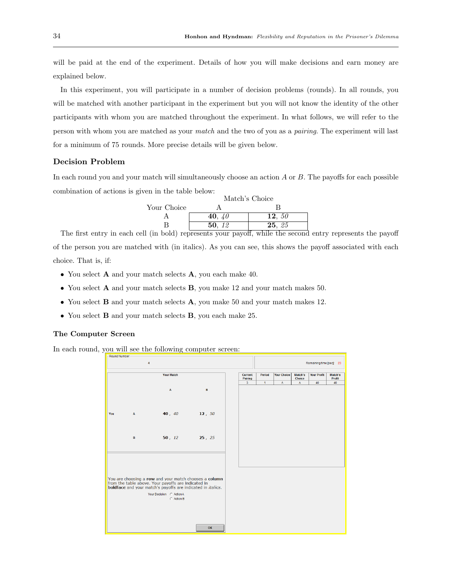will be paid at the end of the experiment. Details of how you will make decisions and earn money are explained below.

In this experiment, you will participate in a number of decision problems (rounds). In all rounds, you will be matched with another participant in the experiment but you will not know the identity of the other participants with whom you are matched throughout the experiment. In what follows, we will refer to the person with whom you are matched as your match and the two of you as a pairing. The experiment will last for a minimum of 75 rounds. More precise details will be given below.

## Decision Problem

In each round you and your match will simultaneously choose an action A or B. The payoffs for each possible combination of actions is given in the table below:

|             | Match's Choice |          |  |  |
|-------------|----------------|----------|--|--|
| Your Choice |                |          |  |  |
|             | 40. $40$       | 12, $50$ |  |  |
|             | 50.12          | 25, 25   |  |  |
| $\sim$      |                |          |  |  |

The first entry in each cell (in bold) represents your payoff, while the second entry represents the payoff of the person you are matched with (in italics). As you can see, this shows the payoff associated with each choice. That is, if:

- You select **A** and your match selects **A**, you each make 40.
- You select **A** and your match selects **B**, you make 12 and your match makes 50.
- You select **B** and your match selects **A**, you make 50 and your match makes 12.
- You select **B** and your match selects **B**, you each make 25.

## The Computer Screen

In each round, you will see the following computer screen:

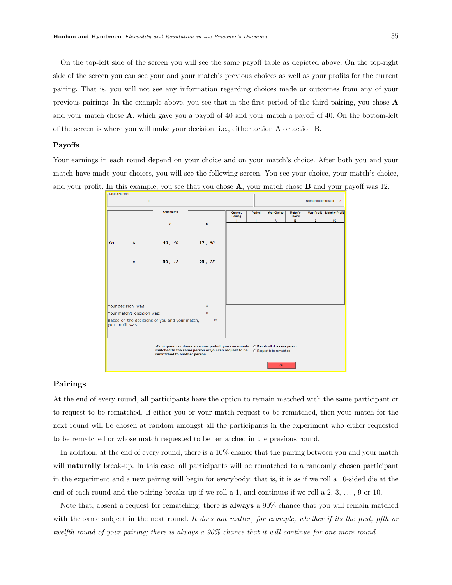On the top-left side of the screen you will see the same payoff table as depicted above. On the top-right side of the screen you can see your and your match's previous choices as well as your profits for the current pairing. That is, you will not see any information regarding choices made or outcomes from any of your previous pairings. In the example above, you see that in the first period of the third pairing, you chose A and your match chose A, which gave you a payoff of 40 and your match a payoff of 40. On the bottom-left of the screen is where you will make your decision, i.e., either action A or action B.

#### Payoffs

Your earnings in each round depend on your choice and on your match's choice. After both you and your match have made your choices, you will see the following screen. You see your choice, your match's choice, and your profit. In this example, you see that you chose  $\bf{A}$ , your match chose  $\bf{B}$  and your payoff was 12.



## Pairings

At the end of every round, all participants have the option to remain matched with the same participant or to request to be rematched. If either you or your match request to be rematched, then your match for the next round will be chosen at random amongst all the participants in the experiment who either requested to be rematched or whose match requested to be rematched in the previous round.

In addition, at the end of every round, there is a 10% chance that the pairing between you and your match will **naturally** break-up. In this case, all participants will be rematched to a randomly chosen participant in the experiment and a new pairing will begin for everybody; that is, it is as if we roll a 10-sided die at the end of each round and the pairing breaks up if we roll a 1, and continues if we roll a 2, 3, . . . , 9 or 10.

Note that, absent a request for rematching, there is **always** a 90% chance that you will remain matched with the same subject in the next round. It does not matter, for example, whether if its the first, fifth or twelfth round of your pairing; there is always a 90% chance that it will continue for one more round.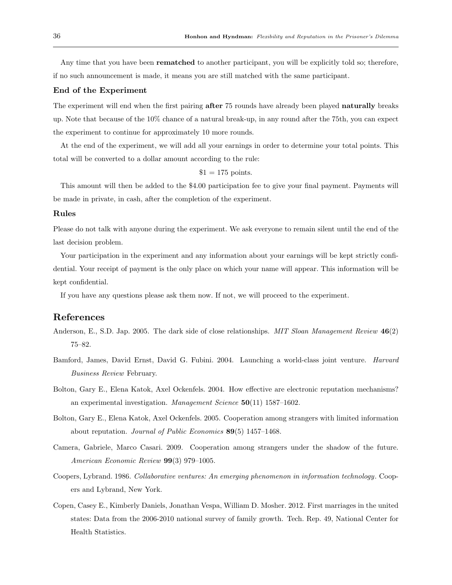Any time that you have been **rematched** to another participant, you will be explicitly told so; therefore, if no such announcement is made, it means you are still matched with the same participant.

## End of the Experiment

The experiment will end when the first pairing **after** 75 rounds have already been played **naturally** breaks up. Note that because of the 10% chance of a natural break-up, in any round after the 75th, you can expect the experiment to continue for approximately 10 more rounds.

At the end of the experiment, we will add all your earnings in order to determine your total points. This total will be converted to a dollar amount according to the rule:

```
$1 = 175 points.
```
This amount will then be added to the \$4.00 participation fee to give your final payment. Payments will be made in private, in cash, after the completion of the experiment.

#### Rules

Please do not talk with anyone during the experiment. We ask everyone to remain silent until the end of the last decision problem.

Your participation in the experiment and any information about your earnings will be kept strictly confidential. Your receipt of payment is the only place on which your name will appear. This information will be kept confidential.

If you have any questions please ask them now. If not, we will proceed to the experiment.

## References

- Anderson, E., S.D. Jap. 2005. The dark side of close relationships. MIT Sloan Management Review 46(2) 75–82.
- Bamford, James, David Ernst, David G. Fubini. 2004. Launching a world-class joint venture. Harvard Business Review February.
- Bolton, Gary E., Elena Katok, Axel Ockenfels. 2004. How effective are electronic reputation mechanisms? an experimental investigation. Management Science 50(11) 1587-1602.
- Bolton, Gary E., Elena Katok, Axel Ockenfels. 2005. Cooperation among strangers with limited information about reputation. Journal of Public Economics 89(5) 1457–1468.
- Camera, Gabriele, Marco Casari. 2009. Cooperation among strangers under the shadow of the future. American Economic Review 99(3) 979–1005.
- Coopers, Lybrand. 1986. Collaborative ventures: An emerging phenomenon in information technology. Coopers and Lybrand, New York.
- Copen, Casey E., Kimberly Daniels, Jonathan Vespa, William D. Mosher. 2012. First marriages in the united states: Data from the 2006-2010 national survey of family growth. Tech. Rep. 49, National Center for Health Statistics.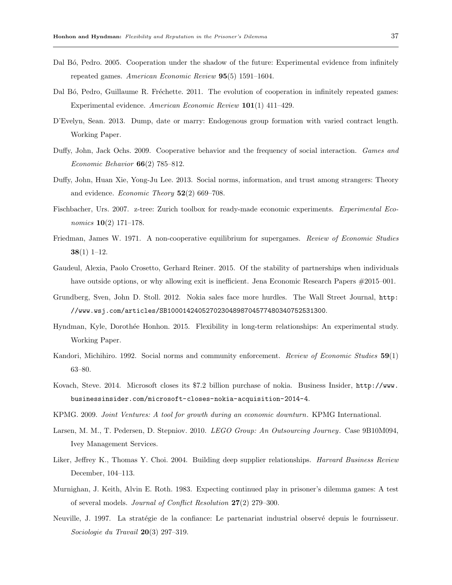- Dal B<sub>6</sub>, Pedro. 2005. Cooperation under the shadow of the future: Experimental evidence from infinitely repeated games. American Economic Review 95(5) 1591-1604.
- Dal Bó, Pedro, Guillaume R. Fréchette. 2011. The evolution of cooperation in infinitely repeated games: Experimental evidence. American Economic Review 101(1) 411–429.
- D'Evelyn, Sean. 2013. Dump, date or marry: Endogenous group formation with varied contract length. Working Paper.
- Duffy, John, Jack Ochs. 2009. Cooperative behavior and the frequency of social interaction. Games and Economic Behavior 66(2) 785–812.
- Duffy, John, Huan Xie, Yong-Ju Lee. 2013. Social norms, information, and trust among strangers: Theory and evidence. *Economic Theory*  $52(2)$  669–708.
- Fischbacher, Urs. 2007. z-tree: Zurich toolbox for ready-made economic experiments. Experimental Economics 10(2) 171–178.
- Friedman, James W. 1971. A non-cooperative equilibrium for supergames. Review of Economic Studies  $38(1)$  1–12.
- Gaudeul, Alexia, Paolo Crosetto, Gerhard Reiner. 2015. Of the stability of partnerships when individuals have outside options, or why allowing exit is inefficient. Jena Economic Research Papers  $\#2015-001$ .
- Grundberg, Sven, John D. Stoll. 2012. Nokia sales face more hurdles. The Wall Street Journal, http: //www.wsj.com/articles/SB10001424052702304898704577480340752531300.
- Hyndman, Kyle, Dorothée Honhon. 2015. Flexibility in long-term relationships: An experimental study. Working Paper.
- Kandori, Michihiro. 1992. Social norms and community enforcement. Review of Economic Studies 59(1) 63–80.
- Kovach, Steve. 2014. Microsoft closes its \$7.2 billion purchase of nokia. Business Insider, http://www. businessinsider.com/microsoft-closes-nokia-acquisition-2014-4.
- KPMG. 2009. Joint Ventures: A tool for growth during an economic downturn. KPMG International.
- Larsen, M. M., T. Pedersen, D. Stepniov. 2010. LEGO Group: An Outsourcing Journey. Case 9B10M094, Ivey Management Services.
- Liker, Jeffrey K., Thomas Y. Choi. 2004. Building deep supplier relationships. *Harvard Business Review* December, 104–113.
- Murnighan, J. Keith, Alvin E. Roth. 1983. Expecting continued play in prisoner's dilemma games: A test of several models. Journal of Conflict Resolution  $27(2)$  279–300.
- Neuville, J. 1997. La stratégie de la confiance: Le partenariat industrial observé depuis le fournisseur. Sociologie du Travail 20(3) 297–319.